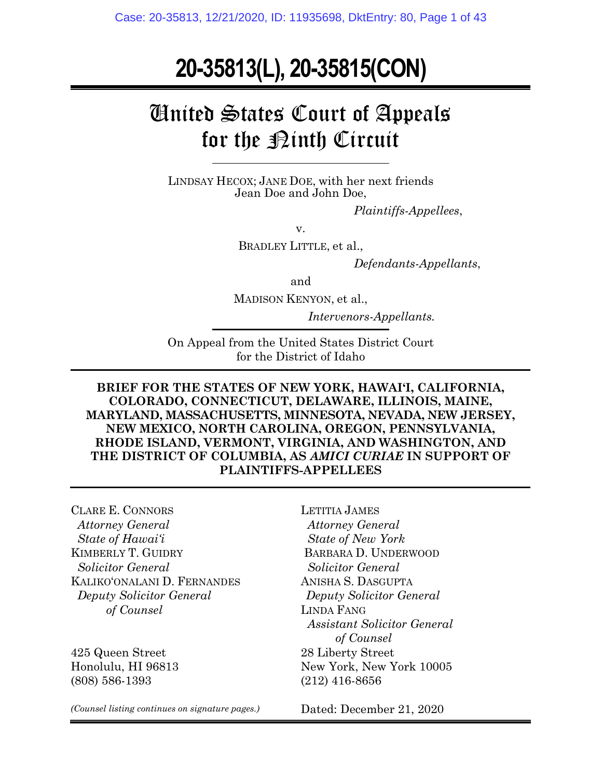# **20-35813(L), 20-35815(CON)**

# United States Court of Appeals for the  $\mathcal{R}$ inth Circuit

LINDSAY HECOX; JANE DOE, with her next friends Jean Doe and John Doe,

*Plaintiffs-Appellees*,

v.

BRADLEY LITTLE, et al.,

*Defendants-Appellants*,

and

MADISON KENYON, et al.,

*Intervenors-Appellants.* 

On Appeal from the United States District Court for the District of Idaho

**BRIEF FOR THE STATES OF NEW YORK, HAWAI'I, CALIFORNIA, COLORADO, CONNECTICUT, DELAWARE, ILLINOIS, MAINE, MARYLAND, MASSACHUSETTS, MINNESOTA, NEVADA, NEW JERSEY, NEW MEXICO, NORTH CAROLINA, OREGON, PENNSYLVANIA, RHODE ISLAND, VERMONT, VIRGINIA, AND WASHINGTON, AND THE DISTRICT OF COLUMBIA, AS** *AMICI CURIAE* **IN SUPPORT OF PLAINTIFFS-APPELLEES**

CLARE E. CONNORS  *Attorney General State of Hawai'i* KIMBERLY T. GUIDRY  *Solicitor General* KALIKO'ONALANI D. FERNANDES  *Deputy Solicitor General of Counsel*

425 Queen Street Honolulu, HI 96813 (808) 586-1393

LETITIA JAMES  *Attorney General State of New York* BARBARA D. UNDERWOOD  *Solicitor General* ANISHA S. DASGUPTA *Deputy Solicitor General* LINDA FANG *Assistant Solicitor General of Counsel* 28 Liberty Street New York, New York 10005 (212) 416-8656

*(Counsel listing continues on signature pages.)*

Dated: December 21, 2020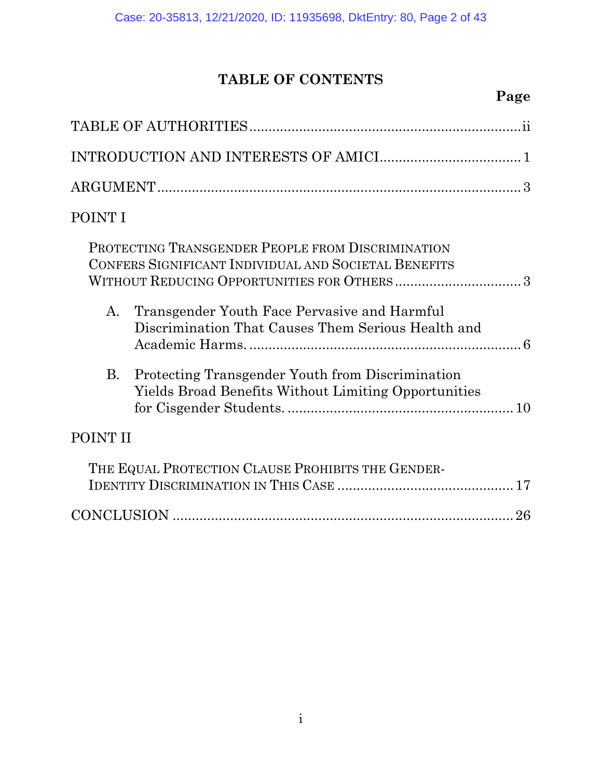# **TABLE OF CONTENTS**

# **Page**

| POINT I  |                                                                                                                 |
|----------|-----------------------------------------------------------------------------------------------------------------|
|          | PROTECTING TRANSGENDER PEOPLE FROM DISCRIMINATION<br>CONFERS SIGNIFICANT INDIVIDUAL AND SOCIETAL BENEFITS       |
| A.       | Transgender Youth Face Pervasive and Harmful<br>Discrimination That Causes Them Serious Health and              |
| B.       | Protecting Transgender Youth from Discrimination<br><b>Yields Broad Benefits Without Limiting Opportunities</b> |
| POINT II |                                                                                                                 |
|          | THE EQUAL PROTECTION CLAUSE PROHIBITS THE GENDER-                                                               |
|          |                                                                                                                 |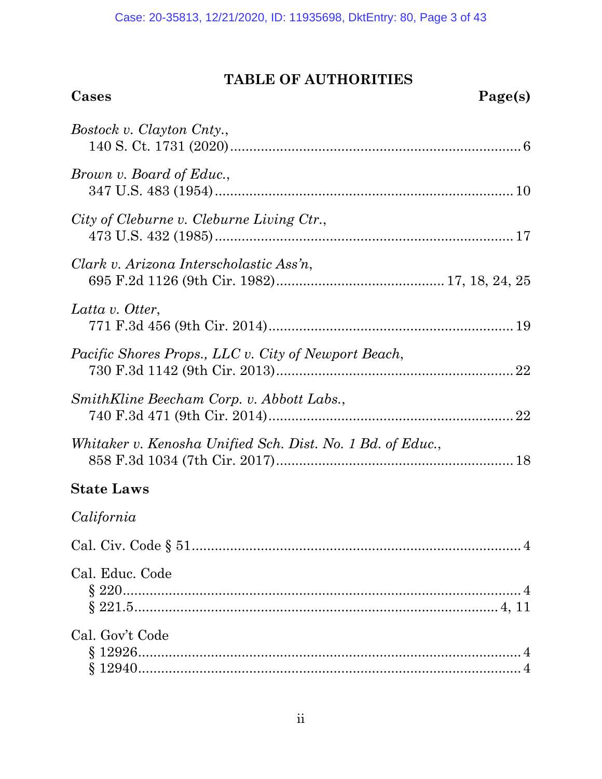## **TABLE OF AUTHORITIES Cases Page(s)**

| Bostock v. Clayton Cnty.,                                  |
|------------------------------------------------------------|
| Brown v. Board of Educ.,                                   |
| City of Cleburne v. Cleburne Living Ctr.,                  |
| Clark v. Arizona Interscholastic Ass'n,                    |
| Latta v. Otter,                                            |
| Pacific Shores Props., LLC v. City of Newport Beach,       |
| SmithKline Beecham Corp. v. Abbott Labs.,                  |
| Whitaker v. Kenosha Unified Sch. Dist. No. 1 Bd. of Educ., |
| <b>State Laws</b>                                          |
| California                                                 |
| $\overline{4}$                                             |
| Cal. Educ. Code                                            |
| Cal. Gov't Code                                            |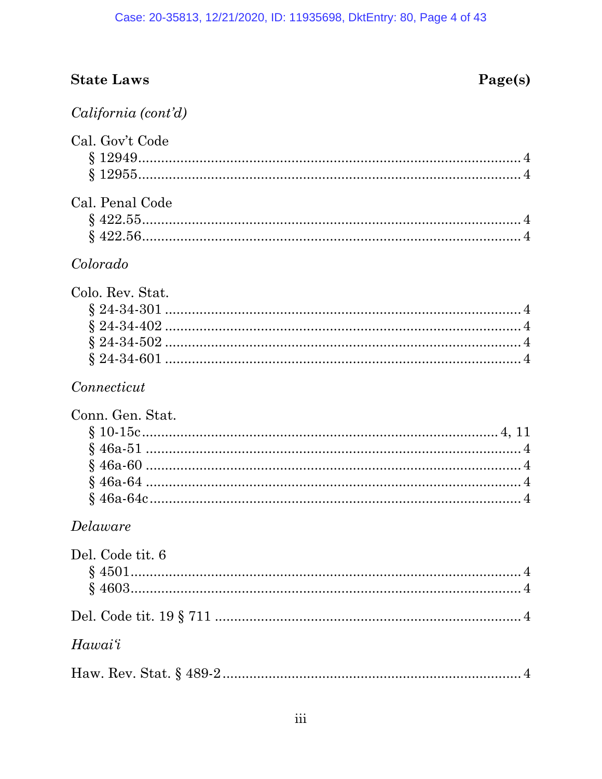# **State Laws**

# Page(s)

|  | California (cont'd) |  |
|--|---------------------|--|
|  |                     |  |

| Cal. Gov't Code  |
|------------------|
| Cal. Penal Code  |
| Colorado         |
| Colo. Rev. Stat. |
| Connecticut      |
| Conn. Gen. Stat. |
| Delaware         |
| Del. Code tit. 6 |
|                  |
| Hawai'i          |
|                  |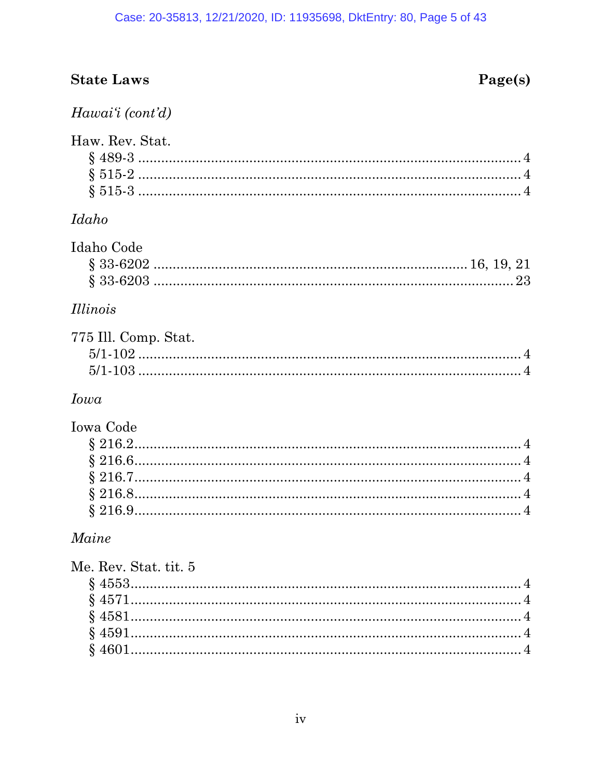# **State Laws**

# $Page(s)$

## Hawai'i (cont'd)

| Haw. Rev. Stat. |  |
|-----------------|--|
|                 |  |
|                 |  |
|                 |  |

## $\qquad \qquad I daho$

| Idaho Code |  |
|------------|--|
|            |  |
|            |  |

## *Illinois*

| 775 Ill. Comp. Stat. |  |
|----------------------|--|
|                      |  |
|                      |  |

## Iowa

# Iowa Code

## $Maine$

| Me. Rev. Stat. tit. 5 |  |
|-----------------------|--|
|                       |  |
|                       |  |
|                       |  |
|                       |  |
|                       |  |
|                       |  |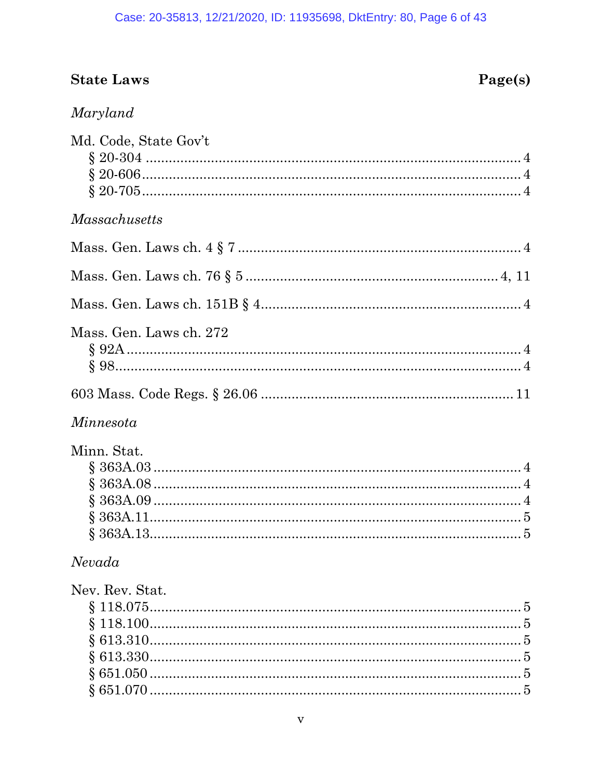### Case: 20-35813, 12/21/2020, ID: 11935698, DktEntry: 80, Page 6 of 43

# **State Laws**

# $Page(s)$

# Maryland

| Md. Code, State Gov't             |
|-----------------------------------|
| <b>Massachusetts</b>              |
|                                   |
|                                   |
|                                   |
| Mass. Gen. Laws ch. 272           |
|                                   |
| Minnesota                         |
| Minn. Stat.                       |
| Nevada                            |
| Nev. Rev. Stat.<br>$\overline{5}$ |
| v                                 |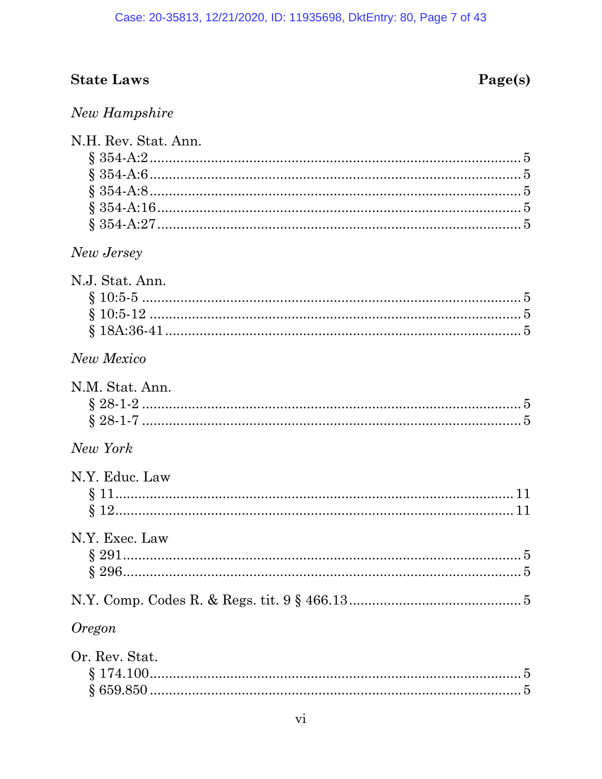# **State Laws**

# Page(s)

## New Hampshire

| N.H. Rev. Stat. Ann. |
|----------------------|
|                      |
|                      |
|                      |
|                      |
| New Jersey           |
| N.J. Stat. Ann.      |
|                      |
|                      |
|                      |
| New Mexico           |
| N.M. Stat. Ann.      |
|                      |
|                      |
| New York             |
| N.Y. Educ. Law       |
|                      |
|                      |
|                      |
| N.Y. Exec. Law       |
|                      |
|                      |
|                      |
| <i><b>Oregon</b></i> |
| Or. Rev. Stat.       |
|                      |
|                      |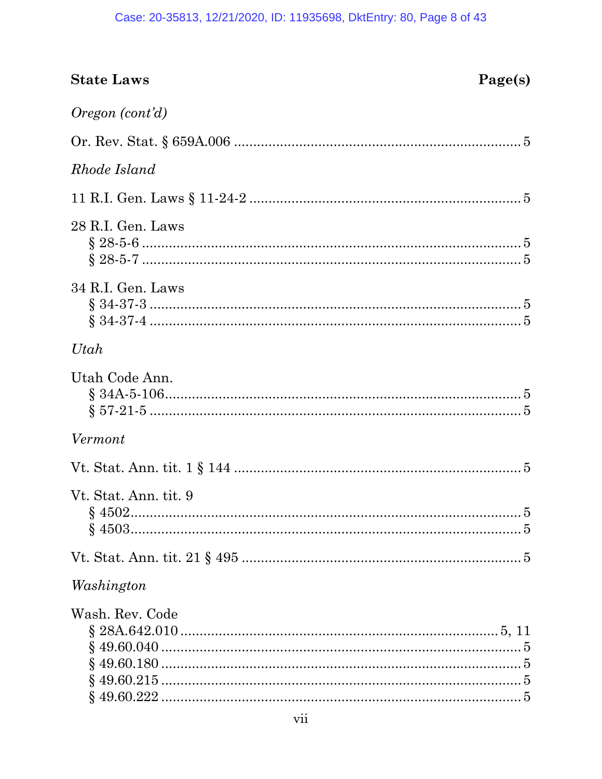#### Case: 20-35813, 12/21/2020, ID: 11935698, DktEntry: 80, Page 8 of 43

| <b>State Laws</b>     | Page(s) |
|-----------------------|---------|
| Oregon (cont'd)       |         |
|                       |         |
| Rhode Island          |         |
|                       |         |
| 28 R.I. Gen. Laws     |         |
| 34 R.I. Gen. Laws     |         |
| Utah                  |         |
| Utah Code Ann.        |         |
| Vermont               |         |
|                       |         |
| Vt. Stat. Ann. tit. 9 |         |
|                       |         |
| Washington            |         |
| Wash. Rev. Code       |         |
|                       |         |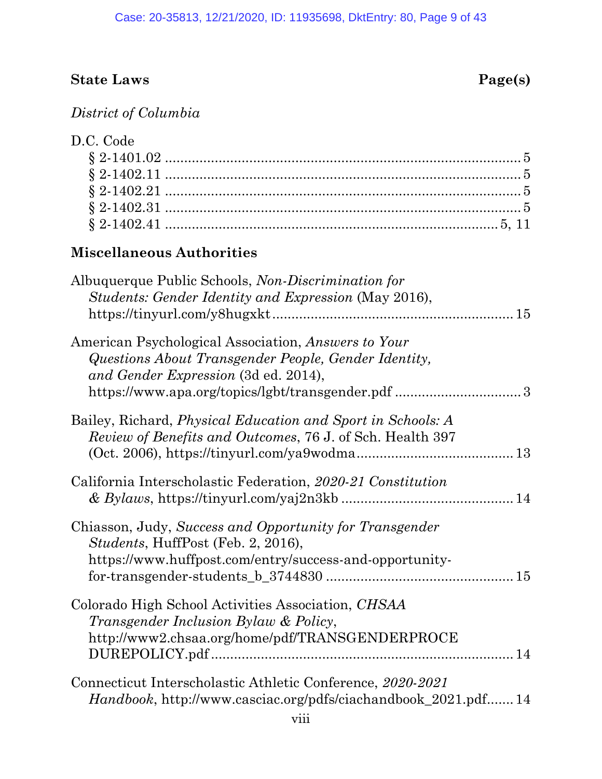# **State Laws** Page(s)

*District of Columbia*

| D.C. Code |  |
|-----------|--|
|           |  |
|           |  |
|           |  |
|           |  |
|           |  |

### **Miscellaneous Authorities**

| Albuquerque Public Schools, Non-Discrimination for<br>Students: Gender Identity and Expression (May 2016),                                               |
|----------------------------------------------------------------------------------------------------------------------------------------------------------|
| American Psychological Association, Answers to Your<br>Questions About Transgender People, Gender Identity,<br>and Gender Expression (3d ed. 2014),      |
| Bailey, Richard, <i>Physical Education and Sport in Schools: A</i><br>Review of Benefits and Outcomes, 76 J. of Sch. Health 397                          |
| California Interscholastic Federation, 2020-21 Constitution                                                                                              |
| Chiasson, Judy, Success and Opportunity for Transgender<br>Students, HuffPost (Feb. 2, 2016),<br>https://www.huffpost.com/entry/success-and-opportunity- |
| Colorado High School Activities Association, CHSAA<br>Transgender Inclusion Bylaw & Policy,<br>http://www2.chsaa.org/home/pdf/TRANSGENDERPROCE           |
| Connecticut Interscholastic Athletic Conference, 2020-2021<br><i>Handbook</i> , http://www.casciac.org/pdfs/ciachandbook_2021.pdf 14                     |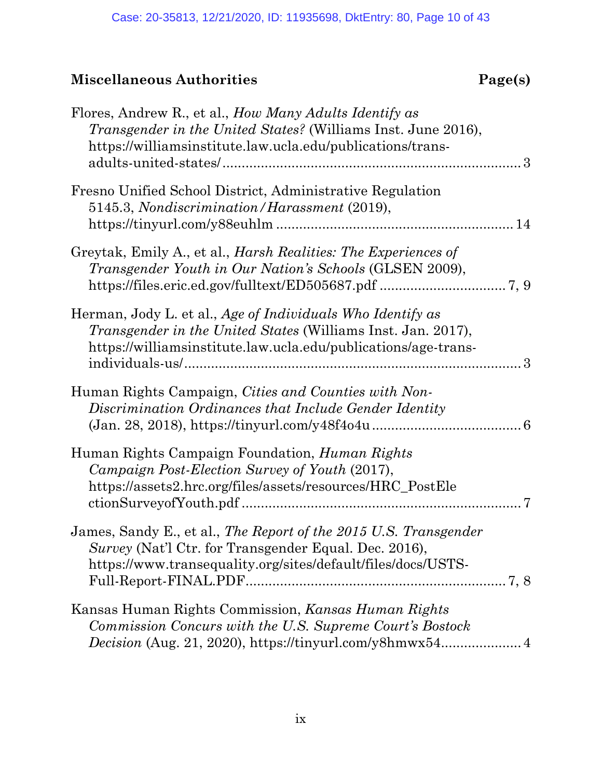| Flores, Andrew R., et al., <i>How Many Adults Identify as</i><br><i>Transgender in the United States?</i> (Williams Inst. June 2016),<br>https://williamsinstitute.law.ucla.edu/publications/trans- |
|-----------------------------------------------------------------------------------------------------------------------------------------------------------------------------------------------------|
| Fresno Unified School District, Administrative Regulation<br>5145.3, Nondiscrimination/Harassment (2019),                                                                                           |
| Greytak, Emily A., et al., <i>Harsh Realities: The Experiences of</i><br>Transgender Youth in Our Nation's Schools (GLSEN 2009),                                                                    |
| Herman, Jody L. et al., Age of Individuals Who Identify as<br><i>Transgender in the United States</i> (Williams Inst. Jan. 2017),<br>https://williamsinstitute.law.ucla.edu/publications/age-trans- |
| Human Rights Campaign, Cities and Counties with Non-<br>Discrimination Ordinances that Include Gender Identity                                                                                      |
| Human Rights Campaign Foundation, <i>Human Rights</i><br>Campaign Post-Election Survey of Youth (2017),<br>https://assets2.hrc.org/files/assets/resources/HRC_PostEle                               |
| James, Sandy E., et al., The Report of the 2015 U.S. Transgender<br>Survey (Nat'l Ctr. for Transgender Equal. Dec. 2016),<br>https://www.transequality.org/sites/default/files/docs/USTS-           |
| Kansas Human Rights Commission, Kansas Human Rights<br>Commission Concurs with the U.S. Supreme Court's Bostock                                                                                     |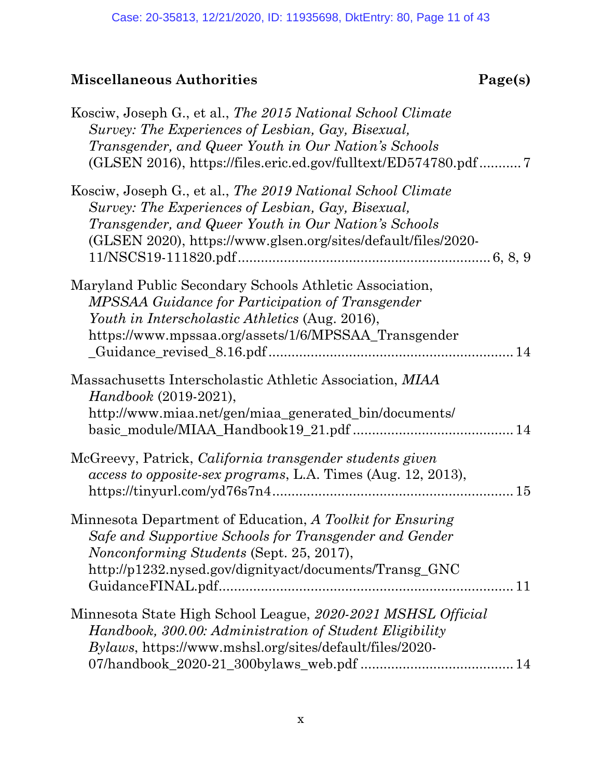| Kosciw, Joseph G., et al., The 2015 National School Climate<br>Survey: The Experiences of Lesbian, Gay, Bisexual,<br>Transgender, and Queer Youth in Our Nation's Schools<br>(GLSEN 2016), https://files.eric.ed.gov/fulltext/ED574780.pdf |  |
|--------------------------------------------------------------------------------------------------------------------------------------------------------------------------------------------------------------------------------------------|--|
| Kosciw, Joseph G., et al., The 2019 National School Climate<br>Survey: The Experiences of Lesbian, Gay, Bisexual,<br>Transgender, and Queer Youth in Our Nation's Schools<br>(GLSEN 2020), https://www.glsen.org/sites/default/files/2020- |  |
| Maryland Public Secondary Schools Athletic Association,<br>MPSSAA Guidance for Participation of Transgender<br>Youth in Interscholastic Athletics (Aug. 2016),<br>https://www.mpssaa.org/assets/1/6/MPSSAA_Transgender                     |  |
| Massachusetts Interscholastic Athletic Association, MIAA<br><i>Handbook</i> (2019-2021),<br>http://www.miaa.net/gen/miaa_generated_bin/documents/                                                                                          |  |
| McGreevy, Patrick, California transgender students given<br>access to opposite-sex programs, L.A. Times (Aug. 12, 2013),                                                                                                                   |  |
| Minnesota Department of Education, A Toolkit for Ensuring<br>Safe and Supportive Schools for Transgender and Gender<br><i>Nonconforming Students</i> (Sept. 25, 2017),<br>http://p1232.nysed.gov/dignityact/documents/Transg_GNC           |  |
| Minnesota State High School League, 2020-2021 MSHSL Official<br>Handbook, 300.00: Administration of Student Eligibility<br><i>Bylaws</i> , https://www.mshsl.org/sites/default/files/2020-                                                 |  |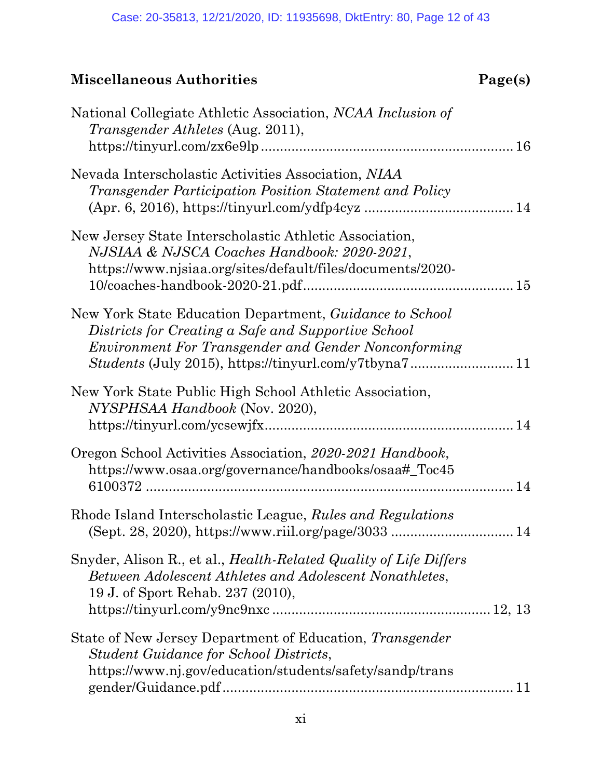| National Collegiate Athletic Association, NCAA Inclusion of<br><i>Transgender Athletes (Aug. 2011),</i>                                                                  |
|--------------------------------------------------------------------------------------------------------------------------------------------------------------------------|
| Nevada Interscholastic Activities Association, NIAA<br>Transgender Participation Position Statement and Policy                                                           |
| New Jersey State Interscholastic Athletic Association,<br>NJSIAA & NJSCA Coaches Handbook: 2020-2021,<br>https://www.njsiaa.org/sites/default/files/documents/2020-      |
| New York State Education Department, Guidance to School<br>Districts for Creating a Safe and Supportive School<br>Environment For Transgender and Gender Nonconforming   |
| New York State Public High School Athletic Association,<br>NYSPHSAA Handbook (Nov. 2020),                                                                                |
| Oregon School Activities Association, 2020-2021 Handbook,<br>https://www.osaa.org/governance/handbooks/osaa#_Toc45                                                       |
| Rhode Island Interscholastic League, Rules and Regulations                                                                                                               |
| Snyder, Alison R., et al., <i>Health-Related Quality of Life Differs</i><br>Between Adolescent Athletes and Adolescent Nonathletes,<br>19 J. of Sport Rehab. 237 (2010), |
| State of New Jersey Department of Education, Transgender<br><b>Student Guidance for School Districts,</b><br>https://www.nj.gov/education/students/safety/sandp/trans    |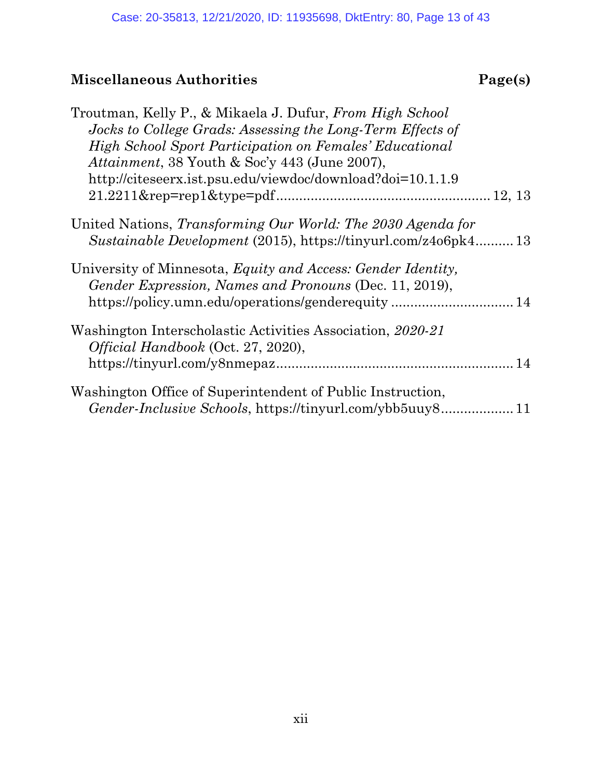| Troutman, Kelly P., & Mikaela J. Dufur, From High School<br>Jocks to College Grads: Assessing the Long-Term Effects of<br><b>High School Sport Participation on Females' Educational</b><br>Attainment, 38 Youth & Soc'y 443 (June 2007), |  |
|-------------------------------------------------------------------------------------------------------------------------------------------------------------------------------------------------------------------------------------------|--|
| http://citeseerx.ist.psu.edu/viewdoc/download?doi=10.1.1.9                                                                                                                                                                                |  |
| United Nations, Transforming Our World: The 2030 Agenda for<br>Sustainable Development (2015), https://tinyurl.com/z4o6pk413                                                                                                              |  |
| University of Minnesota, Equity and Access: Gender Identity,<br>Gender Expression, Names and Pronouns (Dec. 11, 2019),<br>https://policy.umn.edu/operations/genderequity 14                                                               |  |
| Washington Interscholastic Activities Association, 2020-21<br>Official Handbook (Oct. 27, 2020),                                                                                                                                          |  |
| Washington Office of Superintendent of Public Instruction,                                                                                                                                                                                |  |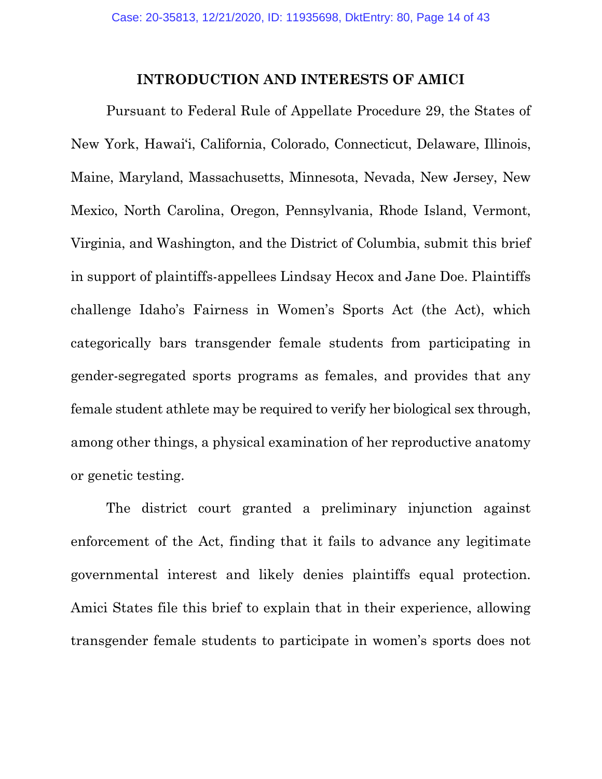#### **INTRODUCTION AND INTERESTS OF AMICI**

<span id="page-13-0"></span>Pursuant to Federal Rule of Appellate Procedure 29, the States of New York, Hawai'i, California, Colorado, Connecticut, Delaware, Illinois, Maine, Maryland, Massachusetts, Minnesota, Nevada, New Jersey, New Mexico, North Carolina, Oregon, Pennsylvania, Rhode Island, Vermont, Virginia, and Washington, and the District of Columbia, submit this brief in support of plaintiffs-appellees Lindsay Hecox and Jane Doe. Plaintiffs challenge Idaho's Fairness in Women's Sports Act (the Act), which categorically bars transgender female students from participating in gender-segregated sports programs as females, and provides that any female student athlete may be required to verify her biological sex through, among other things, a physical examination of her reproductive anatomy or genetic testing.

The district court granted a preliminary injunction against enforcement of the Act, finding that it fails to advance any legitimate governmental interest and likely denies plaintiffs equal protection. Amici States file this brief to explain that in their experience, allowing transgender female students to participate in women's sports does not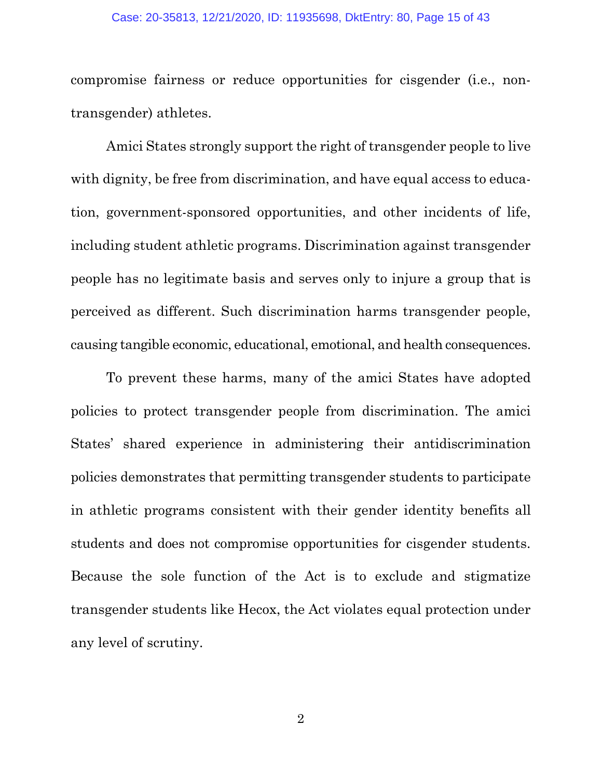#### Case: 20-35813, 12/21/2020, ID: 11935698, DktEntry: 80, Page 15 of 43

compromise fairness or reduce opportunities for cisgender (i.e., nontransgender) athletes.

Amici States strongly support the right of transgender people to live with dignity, be free from discrimination, and have equal access to education, government-sponsored opportunities, and other incidents of life, including student athletic programs. Discrimination against transgender people has no legitimate basis and serves only to injure a group that is perceived as different. Such discrimination harms transgender people, causing tangible economic, educational, emotional, and health consequences.

To prevent these harms, many of the amici States have adopted policies to protect transgender people from discrimination. The amici States' shared experience in administering their antidiscrimination policies demonstrates that permitting transgender students to participate in athletic programs consistent with their gender identity benefits all students and does not compromise opportunities for cisgender students. Because the sole function of the Act is to exclude and stigmatize transgender students like Hecox, the Act violates equal protection under any level of scrutiny.

2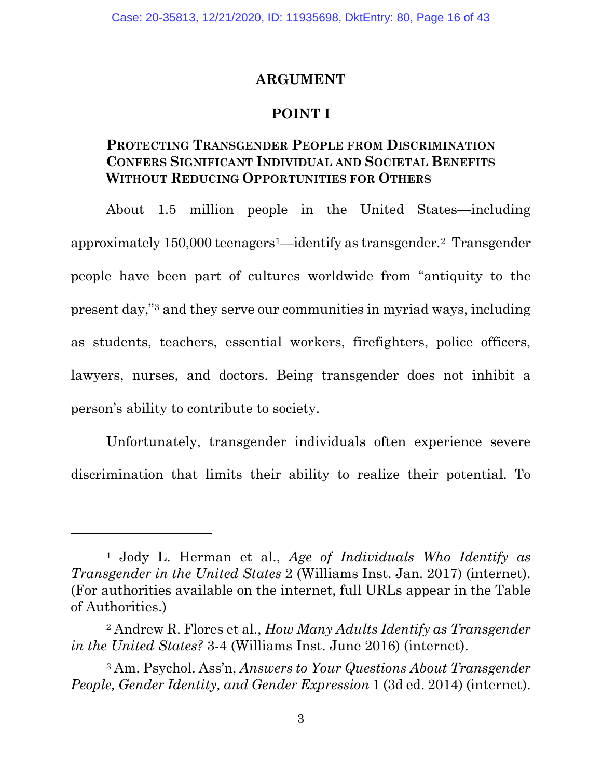#### **ARGUMENT**

#### **POINT I**

#### <span id="page-15-2"></span><span id="page-15-1"></span><span id="page-15-0"></span>**PROTECTING TRANSGENDER PEOPLE FROM DISCRIMINATION CONFERS SIGNIFICANT INDIVIDUAL AND SOCIETAL BENEFITS WITHOUT REDUCING OPPORTUNITIES FOR OTHERS**

About 1.5 million people in the United States—including approximately 150,000 teenagers[1](#page-15-3)—identify as transgender[.2](#page-15-4) Transgender people have been part of cultures worldwide from "antiquity to the present day,"[3](#page-15-5) and they serve our communities in myriad ways, including as students, teachers, essential workers, firefighters, police officers, lawyers, nurses, and doctors. Being transgender does not inhibit a person's ability to contribute to society.

Unfortunately, transgender individuals often experience severe discrimination that limits their ability to realize their potential. To

<span id="page-15-3"></span><sup>1</sup> Jody L. Herman et al., *Age of Individuals Who Identify as Transgender in the United States* 2 (Williams Inst. Jan. 2017) (internet). (For authorities available on the internet, full URLs appear in the Table of Authorities.)

<span id="page-15-4"></span><sup>2</sup> Andrew R. Flores et al., *How Many Adults Identify as Transgender in the United States?* 3-4 (Williams Inst. June 2016) (internet).

<span id="page-15-5"></span><sup>3</sup> Am. Psychol. Ass'n, *Answers to Your Questions About Transgender People, Gender Identity, and Gender Expression* 1 (3d ed. 2014) (internet).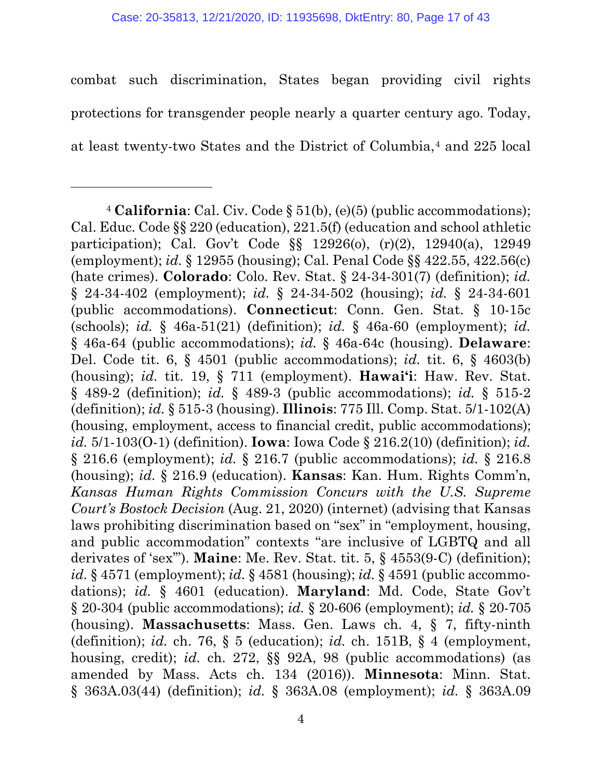combat such discrimination, States began providing civil rights protections for transgender people nearly a quarter century ago. Today, at least twenty-two States and the District of Columbia,[4](#page-16-0) and 225 local

l

<span id="page-16-0"></span><sup>4</sup> **California**: Cal. Civ. Code § 51(b), (e)(5) (public accommodations); Cal. Educ. Code §§ 220 (education), 221.5(f) (education and school athletic participation); Cal. Gov't Code §§ 12926(o), (r)(2), 12940(a), 12949 (employment); *id.* § 12955 (housing); Cal. Penal Code §§ 422.55, 422.56(c) (hate crimes). **Colorado**: Colo. Rev. Stat. § 24-34-301(7) (definition); *id.*  § 24-34-402 (employment); *id.* § 24-34-502 (housing); *id.* § 24-34-601 (public accommodations). **Connecticut**: Conn. Gen. Stat. § 10-15c (schools); *id.* § 46a-51(21) (definition); *id.* § 46a-60 (employment); *id.*  § 46a-64 (public accommodations); *id.* § 46a-64c (housing). **Delaware**: Del. Code tit. 6, § 4501 (public accommodations); *id.* tit. 6, § 4603(b) (housing); *id.* tit. 19, § 711 (employment). **Hawai'i**: Haw. Rev. Stat. § 489-2 (definition); *id.* § 489-3 (public accommodations); *id.* § 515-2 (definition); *id.* § 515-3 (housing). **Illinois**: 775 Ill. Comp. Stat. 5/1-102(A) (housing, employment, access to financial credit, public accommodations); *id.* 5/1-103(O-1) (definition). **Iowa**: Iowa Code § 216.2(10) (definition); *id.*  § 216.6 (employment); *id.* § 216.7 (public accommodations); *id.* § 216.8 (housing); *id.* § 216.9 (education). **Kansas**: Kan. Hum. Rights Comm'n, *Kansas Human Rights Commission Concurs with the U.S. Supreme Court's Bostock Decision* (Aug. 21, 2020) (internet) (advising that Kansas laws prohibiting discrimination based on "sex" in "employment, housing, and public accommodation" contexts "are inclusive of LGBTQ and all derivates of 'sex'"). **Maine**: Me. Rev. Stat. tit. 5, § 4553(9-C) (definition); *id.* § 4571 (employment); *id.* § 4581 (housing); *id.* § 4591 (public accommodations); *id.* § 4601 (education). **Maryland**: Md. Code, State Gov't § 20-304 (public accommodations); *id.* § 20-606 (employment); *id.* § 20-705 (housing). **Massachusetts**: Mass. Gen. Laws ch. 4, § 7, fifty-ninth (definition); *id.* ch. 76, § 5 (education); *id.* ch. 151B, § 4 (employment, housing, credit); *id.* ch. 272, §§ 92A, 98 (public accommodations) (as amended by Mass. Acts ch. 134 (2016)). **Minnesota**: Minn. Stat. § 363A.03(44) (definition); *id.* § 363A.08 (employment); *id.* § 363A.09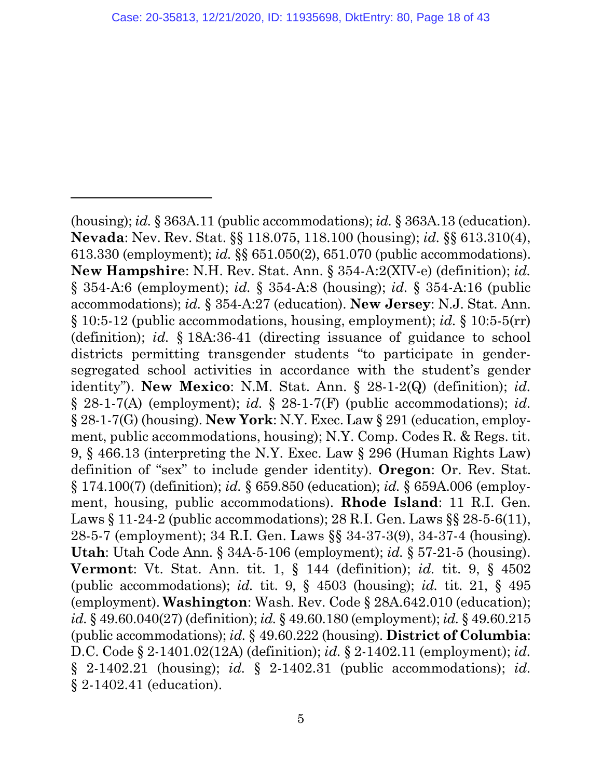$\overline{a}$ 

(housing); *id.* § 363A.11 (public accommodations); *id.* § 363A.13 (education). **Nevada**: Nev. Rev. Stat. §§ 118.075, 118.100 (housing); *id.* §§ 613.310(4), 613.330 (employment); *id.* §§ 651.050(2), 651.070 (public accommodations). **New Hampshire**: N.H. Rev. Stat. Ann. § 354-A:2(XIV-e) (definition); *id.* § 354-A:6 (employment); *id.* § 354-A:8 (housing); *id.* § 354-A:16 (public accommodations); *id.* § 354-A:27 (education). **New Jersey**: N.J. Stat. Ann. § 10:5-12 (public accommodations, housing, employment); *id.* § 10:5-5(rr) (definition); *id.* § 18A:36-41 (directing issuance of guidance to school districts permitting transgender students "to participate in gendersegregated school activities in accordance with the student's gender identity"). **New Mexico**: N.M. Stat. Ann. § 28-1-2(Q) (definition); *id.*  § 28-1-7(A) (employment); *id.* § 28-1-7(F) (public accommodations); *id.*  § 28-1-7(G) (housing). **New York**: N.Y. Exec. Law § 291 (education, employment, public accommodations, housing); N.Y. Comp. Codes R. & Regs. tit. 9, § 466.13 (interpreting the N.Y. Exec. Law § 296 (Human Rights Law) definition of "sex" to include gender identity). **Oregon**: Or. Rev. Stat. § 174.100(7) (definition); *id.* § 659.850 (education); *id.* § 659A.006 (employment, housing, public accommodations). **Rhode Island**: 11 R.I. Gen. Laws § 11-24-2 (public accommodations); 28 R.I. Gen. Laws § § 28-5-6(11), 28-5-7 (employment); 34 R.I. Gen. Laws §§ 34-37-3(9), 34-37-4 (housing). **Utah**: Utah Code Ann. § 34A-5-106 (employment); *id.* § 57-21-5 (housing). **Vermont**: Vt. Stat. Ann. tit. 1, § 144 (definition); *id.* tit. 9, § 4502 (public accommodations); *id.* tit. 9, § 4503 (housing); *id.* tit. 21, § 495 (employment). **Washington**: Wash. Rev. Code § 28A.642.010 (education); *id.* § 49.60.040(27) (definition); *id.* § 49.60.180 (employment); *id.* § 49.60.215 (public accommodations); *id.* § 49.60.222 (housing). **District of Columbia**: D.C. Code § 2-1401.02(12A) (definition); *id.* § 2-1402.11 (employment); *id.*  § 2-1402.21 (housing); *id.* § 2-1402.31 (public accommodations); *id.*  § 2-1402.41 (education).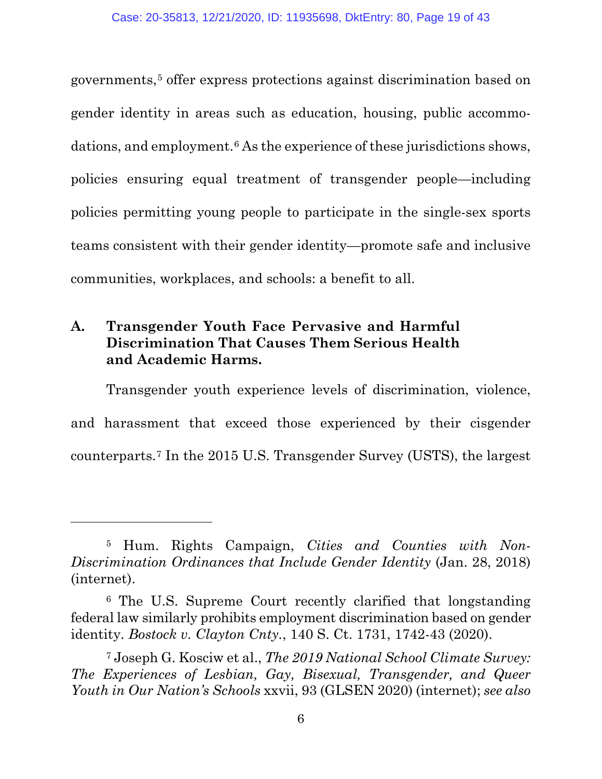governments,[5](#page-18-1) offer express protections against discrimination based on gender identity in areas such as education, housing, public accommo-dations, and employment.<sup>[6](#page-18-2)</sup> As the experience of these jurisdictions shows, policies ensuring equal treatment of transgender people—including policies permitting young people to participate in the single-sex sports teams consistent with their gender identity—promote safe and inclusive communities, workplaces, and schools: a benefit to all.

### <span id="page-18-0"></span>**A. Transgender Youth Face Pervasive and Harmful Discrimination That Causes Them Serious Health and Academic Harms.**

l

Transgender youth experience levels of discrimination, violence, and harassment that exceed those experienced by their cisgender counterparts.[7](#page-18-3) In the 2015 U.S. Transgender Survey (USTS), the largest

<span id="page-18-1"></span><sup>5</sup> Hum. Rights Campaign, *Cities and Counties with Non-Discrimination Ordinances that Include Gender Identity* (Jan. 28, 2018) (internet).

<span id="page-18-2"></span><sup>6</sup> The U.S. Supreme Court recently clarified that longstanding federal law similarly prohibits employment discrimination based on gender identity. *Bostock v. Clayton Cnty.*, 140 S. Ct. 1731, 1742-43 (2020).

<span id="page-18-3"></span><sup>7</sup> Joseph G. Kosciw et al., *The 2019 National School Climate Survey: The Experiences of Lesbian, Gay, Bisexual, Transgender, and Queer Youth in Our Nation's Schools* xxvii, 93 (GLSEN 2020) (internet); *see also*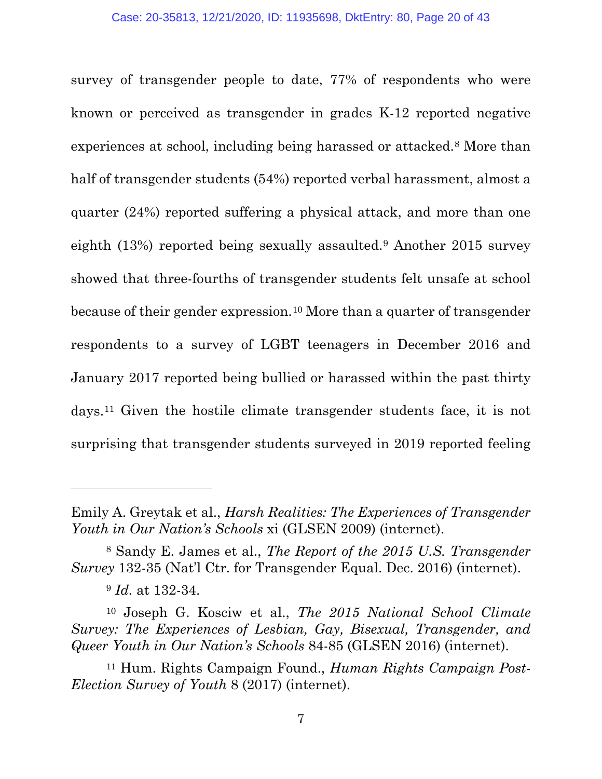survey of transgender people to date, 77% of respondents who were known or perceived as transgender in grades K-12 reported negative experiences at school, including being harassed or attacked.[8](#page-19-0) More than half of transgender students (54%) reported verbal harassment, almost a quarter (24%) reported suffering a physical attack, and more than one eighth (13%) reported being sexually assaulted.[9](#page-19-1) Another 2015 survey showed that three-fourths of transgender students felt unsafe at school because of their gender expression.[10](#page-19-2) More than a quarter of transgender respondents to a survey of LGBT teenagers in December 2016 and January 2017 reported being bullied or harassed within the past thirty days.[11](#page-19-3) Given the hostile climate transgender students face, it is not surprising that transgender students surveyed in 2019 reported feeling

Emily A. Greytak et al., *Harsh Realities: The Experiences of Transgender Youth in Our Nation's Schools* xi (GLSEN 2009) (internet).

<span id="page-19-0"></span><sup>8</sup> Sandy E. James et al., *The Report of the 2015 U.S. Transgender Survey* 132-35 (Nat'l Ctr. for Transgender Equal. Dec. 2016) (internet).

<sup>9</sup> *Id.* at 132-34.

<span id="page-19-2"></span><span id="page-19-1"></span><sup>10</sup> Joseph G. Kosciw et al., *The 2015 National School Climate Survey: The Experiences of Lesbian, Gay, Bisexual, Transgender, and Queer Youth in Our Nation's Schools* 84-85 (GLSEN 2016) (internet).

<span id="page-19-3"></span><sup>11</sup> Hum. Rights Campaign Found., *Human Rights Campaign Post-Election Survey of Youth* 8 (2017) (internet).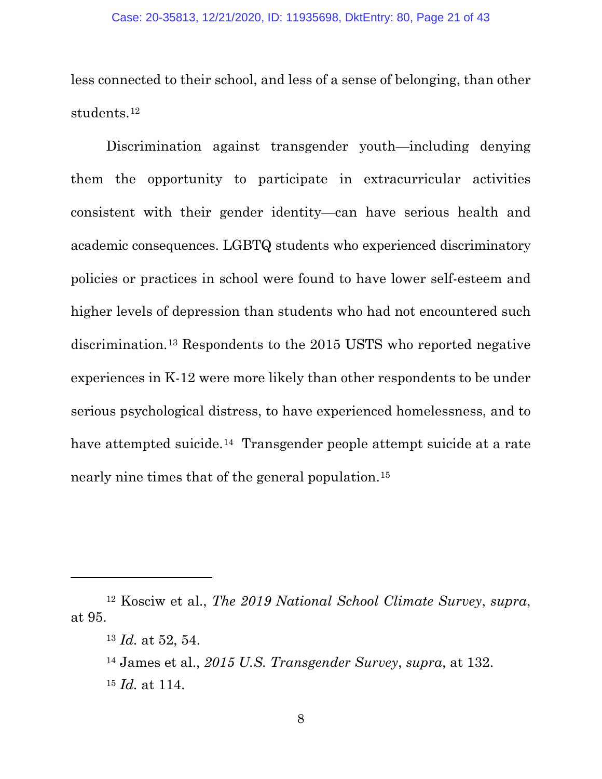less connected to their school, and less of a sense of belonging, than other students.[12](#page-20-0)

Discrimination against transgender youth—including denying them the opportunity to participate in extracurricular activities consistent with their gender identity—can have serious health and academic consequences. LGBTQ students who experienced discriminatory policies or practices in school were found to have lower self-esteem and higher levels of depression than students who had not encountered such discrimination.[13](#page-20-1) Respondents to the 2015 USTS who reported negative experiences in K-12 were more likely than other respondents to be under serious psychological distress, to have experienced homelessness, and to have attempted suicide.<sup>[14](#page-20-2)</sup> Transgender people attempt suicide at a rate nearly nine times that of the general population.[15](#page-20-3) 

<span id="page-20-2"></span><span id="page-20-1"></span><span id="page-20-0"></span><sup>12</sup> Kosciw et al., *The 2019 National School Climate Survey*, *supra*, at 95.

<sup>13</sup> *Id.* at 52, 54.

<span id="page-20-3"></span><sup>14</sup> James et al., *2015 U.S. Transgender Survey*, *supra*, at 132. <sup>15</sup> *Id.* at 114.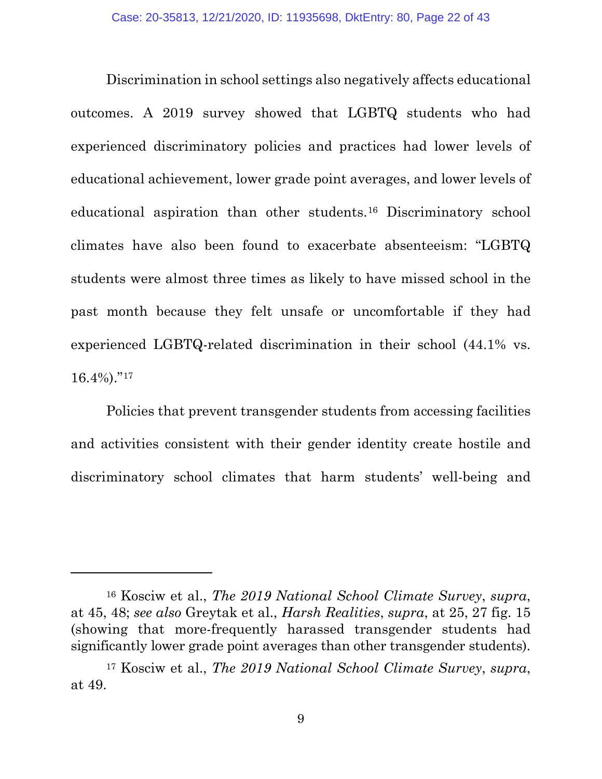Discrimination in school settings also negatively affects educational outcomes. A 2019 survey showed that LGBTQ students who had experienced discriminatory policies and practices had lower levels of educational achievement, lower grade point averages, and lower levels of educational aspiration than other students.[16](#page-21-0) Discriminatory school climates have also been found to exacerbate absenteeism: "LGBTQ students were almost three times as likely to have missed school in the past month because they felt unsafe or uncomfortable if they had experienced LGBTQ-related discrimination in their school (44.1% vs.  $16.4\%$ )."<sup>[17](#page-21-1)</sup>

Policies that prevent transgender students from accessing facilities and activities consistent with their gender identity create hostile and discriminatory school climates that harm students' well-being and

<span id="page-21-0"></span><sup>16</sup> Kosciw et al., *The 2019 National School Climate Survey*, *supra*, at 45, 48; *see also* Greytak et al., *Harsh Realities*, *supra*, at 25, 27 fig. 15 (showing that more-frequently harassed transgender students had significantly lower grade point averages than other transgender students).

<span id="page-21-1"></span><sup>17</sup> Kosciw et al., *The 2019 National School Climate Survey*, *supra*, at 49.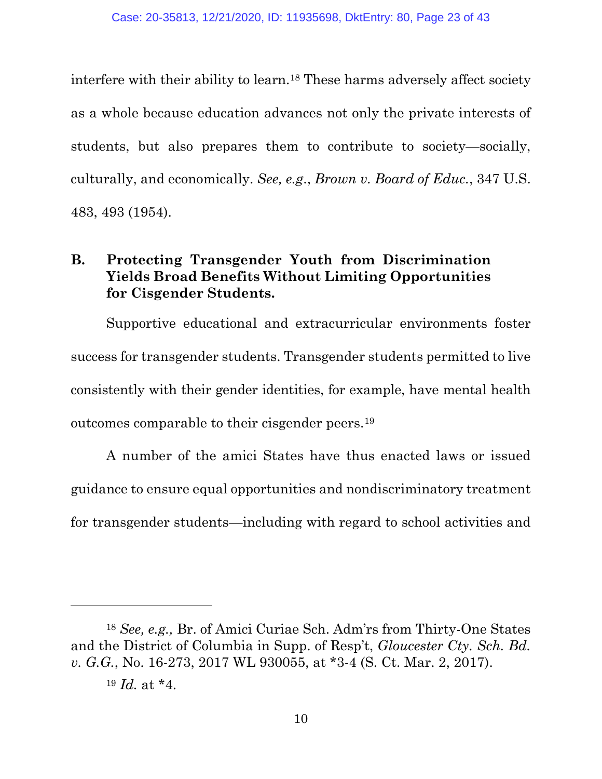interfere with their ability to learn.[18](#page-22-1) These harms adversely affect society as a whole because education advances not only the private interests of students, but also prepares them to contribute to society—socially, culturally, and economically. *See, e.g*., *Brown v. Board of Educ.*, 347 U.S. 483, 493 (1954).

#### <span id="page-22-0"></span>**B. Protecting Transgender Youth from Discrimination Yields Broad Benefits Without Limiting Opportunities for Cisgender Students.**

Supportive educational and extracurricular environments foster success for transgender students. Transgender students permitted to live consistently with their gender identities, for example, have mental health outcomes comparable to their cisgender peers.[19](#page-22-2) 

A number of the amici States have thus enacted laws or issued guidance to ensure equal opportunities and nondiscriminatory treatment for transgender students—including with regard to school activities and

l

<span id="page-22-2"></span><span id="page-22-1"></span><sup>18</sup> *See, e.g.,* Br. of Amici Curiae Sch. Adm'rs from Thirty-One States and the District of Columbia in Supp. of Resp't, *Gloucester Cty. Sch. Bd. v. G.G.*, No. 16-273, 2017 WL 930055, at \*3-4 (S. Ct. Mar. 2, 2017).

<sup>19</sup> *Id.* at \*4.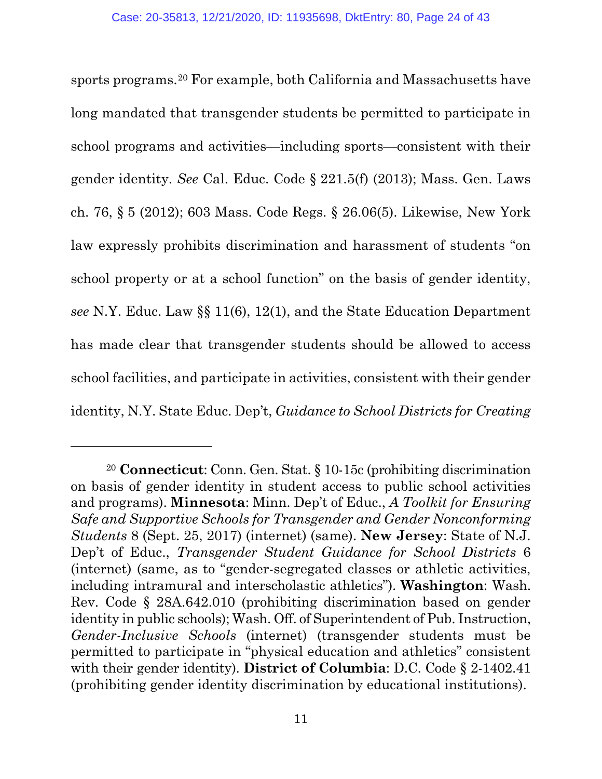sports programs.[20](#page-23-0) For example, both California and Massachusetts have long mandated that transgender students be permitted to participate in school programs and activities—including sports—consistent with their gender identity. *See* Cal. Educ. Code § 221.5(f) (2013); Mass. Gen. Laws ch. 76, § 5 (2012); 603 Mass. Code Regs. § 26.06(5). Likewise, New York law expressly prohibits discrimination and harassment of students "on school property or at a school function" on the basis of gender identity, *see* N.Y. Educ. Law §§ 11(6), 12(1), and the State Education Department has made clear that transgender students should be allowed to access school facilities, and participate in activities, consistent with their gender identity, N.Y. State Educ. Dep't, *Guidance to School Districts for Creating* 

<span id="page-23-0"></span><sup>20</sup> **Connecticut**: Conn. Gen. Stat. § 10-15c (prohibiting discrimination on basis of gender identity in student access to public school activities and programs). **Minnesota**: Minn. Dep't of Educ., *A Toolkit for Ensuring Safe and Supportive Schools for Transgender and Gender Nonconforming Students* 8 (Sept. 25, 2017) (internet) (same). **New Jersey**: State of N.J. Dep't of Educ., *Transgender Student Guidance for School Districts* 6 (internet) (same, as to "gender-segregated classes or athletic activities, including intramural and interscholastic athletics"). **Washington**: Wash. Rev. Code § 28A.642.010 (prohibiting discrimination based on gender identity in public schools); Wash. Off. of Superintendent of Pub. Instruction, *Gender-Inclusive Schools* (internet) (transgender students must be permitted to participate in "physical education and athletics" consistent with their gender identity). **District of Columbia**: D.C. Code § 2-1402.41 (prohibiting gender identity discrimination by educational institutions).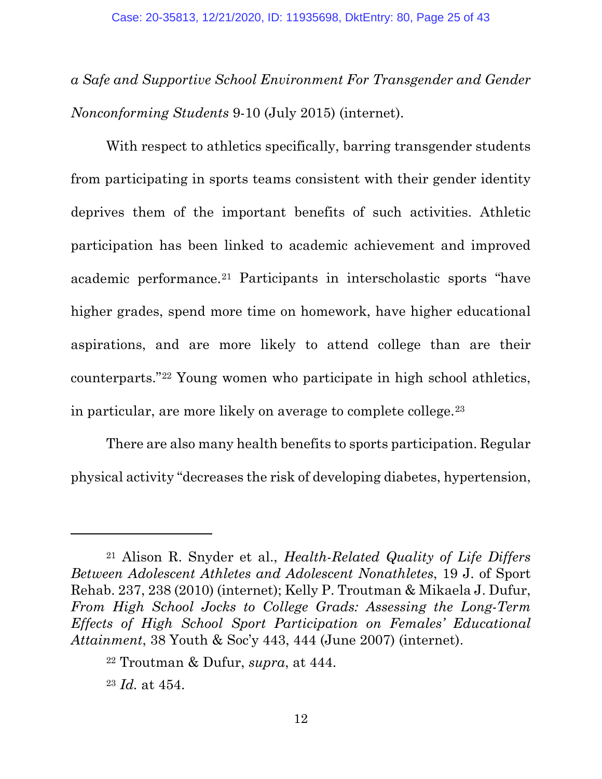*a Safe and Supportive School Environment For Transgender and Gender Nonconforming Students* 9-10 (July 2015) (internet).

With respect to athletics specifically, barring transgender students from participating in sports teams consistent with their gender identity deprives them of the important benefits of such activities. Athletic participation has been linked to academic achievement and improved academic performance.[21](#page-24-0) Participants in interscholastic sports "have higher grades, spend more time on homework, have higher educational aspirations, and are more likely to attend college than are their counterparts."[22](#page-24-1) Young women who participate in high school athletics, in particular, are more likely on average to complete college.[23](#page-24-2)

There are also many health benefits to sports participation. Regular physical activity "decreases the risk of developing diabetes, hypertension,

<span id="page-24-0"></span><sup>21</sup> Alison R. Snyder et al., *Health-Related Quality of Life Differs Between Adolescent Athletes and Adolescent Nonathletes*, 19 J. of Sport Rehab. 237, 238 (2010) (internet); Kelly P. Troutman & Mikaela J. Dufur, *From High School Jocks to College Grads: Assessing the Long-Term Effects of High School Sport Participation on Females' Educational Attainment*, 38 Youth & Soc'y 443, 444 (June 2007) (internet).

<span id="page-24-1"></span><sup>22</sup> Troutman & Dufur, *supra*, at 444.

<span id="page-24-2"></span><sup>23</sup> *Id.* at 454.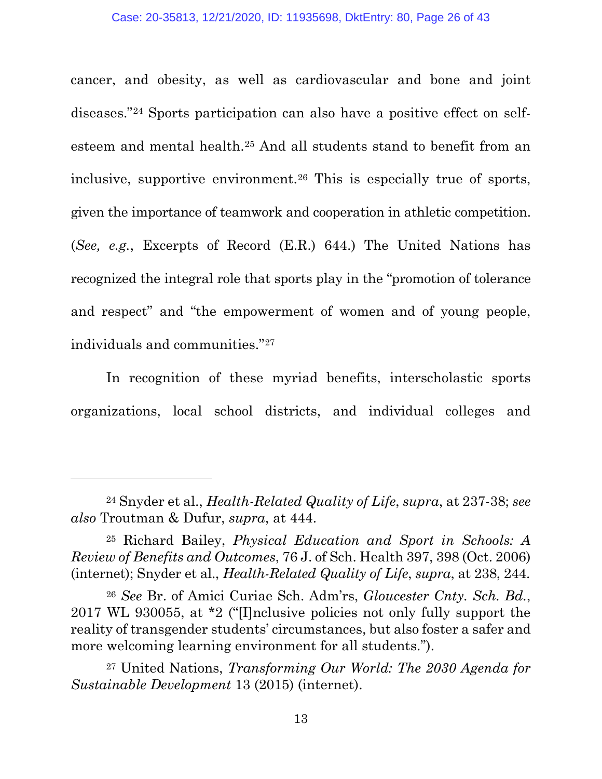cancer, and obesity, as well as cardiovascular and bone and joint diseases."[24](#page-25-0) Sports participation can also have a positive effect on selfesteem and mental health.[25](#page-25-1) And all students stand to benefit from an inclusive, supportive environment.[26](#page-25-2) This is especially true of sports, given the importance of teamwork and cooperation in athletic competition. (*See, e.g.*, Excerpts of Record (E.R.) 644.) The United Nations has recognized the integral role that sports play in the "promotion of tolerance and respect" and "the empowerment of women and of young people, individuals and communities."[27](#page-25-3) 

In recognition of these myriad benefits, interscholastic sports organizations, local school districts, and individual colleges and

<span id="page-25-0"></span><sup>24</sup> Snyder et al., *Health-Related Quality of Life*, *supra*, at 237-38; *see also* Troutman & Dufur, *supra*, at 444.

<span id="page-25-1"></span><sup>25</sup> Richard Bailey, *Physical Education and Sport in Schools: A Review of Benefits and Outcomes*, 76 J. of Sch. Health 397, 398 (Oct. 2006) (internet); Snyder et al., *Health-Related Quality of Life*, *supra*, at 238, 244.

<span id="page-25-2"></span><sup>26</sup> *See* Br. of Amici Curiae Sch. Adm'rs, *Gloucester Cnty. Sch. Bd.*, 2017 WL 930055, at \*2 ("[I]nclusive policies not only fully support the reality of transgender students' circumstances, but also foster a safer and more welcoming learning environment for all students.").

<span id="page-25-3"></span><sup>27</sup> United Nations, *Transforming Our World: The 2030 Agenda for Sustainable Development* 13 (2015) (internet).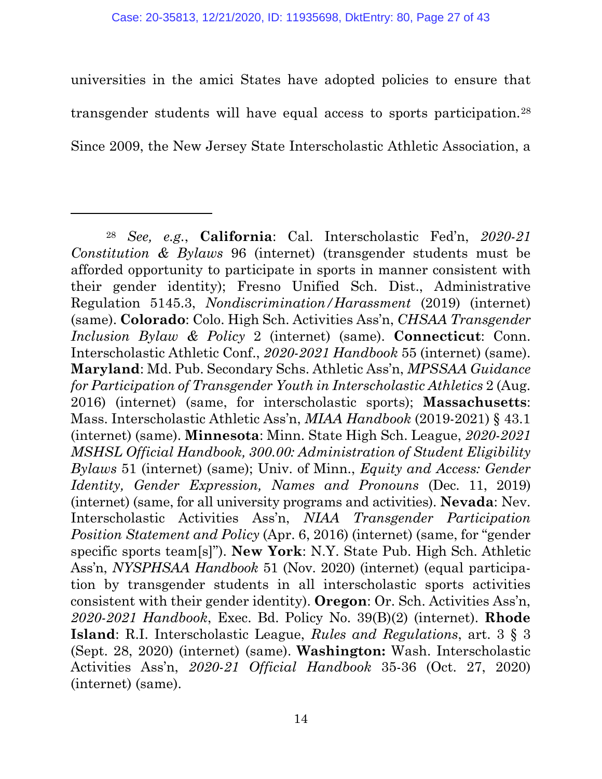universities in the amici States have adopted policies to ensure that transgender students will have equal access to sports participation.[28](#page-26-0) Since 2009, the New Jersey State Interscholastic Athletic Association, a

l

<span id="page-26-0"></span><sup>28</sup> *See, e.g.*, **California**: Cal. Interscholastic Fed'n, *2020-21 Constitution & Bylaws* 96 (internet) (transgender students must be afforded opportunity to participate in sports in manner consistent with their gender identity); Fresno Unified Sch. Dist., Administrative Regulation 5145.3, *Nondiscrimination/Harassment* (2019) (internet) (same). **Colorado**: Colo. High Sch. Activities Ass'n, *CHSAA Transgender Inclusion Bylaw & Policy* 2 (internet) (same). **Connecticut**: Conn. Interscholastic Athletic Conf., *2020-2021 Handbook* 55 (internet) (same). **Maryland**: Md. Pub. Secondary Schs. Athletic Ass'n, *MPSSAA Guidance for Participation of Transgender Youth in Interscholastic Athletics* 2 (Aug. 2016) (internet) (same, for interscholastic sports); **Massachusetts**: Mass. Interscholastic Athletic Ass'n, *MIAA Handbook* (2019-2021) § 43.1 (internet) (same). **Minnesota**: Minn. State High Sch. League, *2020-2021 MSHSL Official Handbook, 300.00: Administration of Student Eligibility Bylaws* 51 (internet) (same); Univ. of Minn., *Equity and Access: Gender Identity, Gender Expression, Names and Pronouns* (Dec. 11, 2019) (internet) (same, for all university programs and activities). **Nevada**: Nev. Interscholastic Activities Ass'n, *NIAA Transgender Participation Position Statement and Policy* (Apr. 6, 2016) (internet) (same, for "gender specific sports team[s]"). **New York**: N.Y. State Pub. High Sch. Athletic Ass'n, *NYSPHSAA Handbook* 51 (Nov. 2020) (internet) (equal participation by transgender students in all interscholastic sports activities consistent with their gender identity). **Oregon**: Or. Sch. Activities Ass'n, *2020-2021 Handbook*, Exec. Bd. Policy No. 39(B)(2) (internet). **Rhode Island**: R.I. Interscholastic League, *Rules and Regulations*, art. 3 § 3 (Sept. 28, 2020) (internet) (same). **Washington:** Wash. Interscholastic Activities Ass'n, *2020-21 Official Handbook* 35-36 (Oct. 27, 2020) (internet) (same).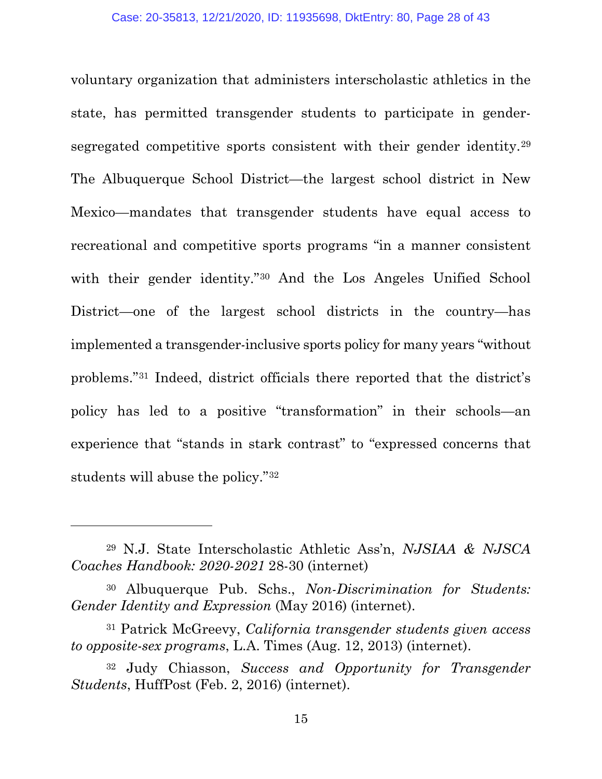voluntary organization that administers interscholastic athletics in the state, has permitted transgender students to participate in gendersegregated competitive sports consistent with their gender identity.[29](#page-27-0) The Albuquerque School District—the largest school district in New Mexico—mandates that transgender students have equal access to recreational and competitive sports programs "in a manner consistent with their gender identity."[30](#page-27-1) And the Los Angeles Unified School District—one of the largest school districts in the country—has implemented a transgender-inclusive sports policy for many years "without problems."[31](#page-27-2) Indeed, district officials there reported that the district's policy has led to a positive "transformation" in their schools—an experience that "stands in stark contrast" to "expressed concerns that students will abuse the policy."[32](#page-27-3) 

l

<span id="page-27-0"></span><sup>29</sup> N.J. State Interscholastic Athletic Ass'n, *NJSIAA & NJSCA Coaches Handbook: 2020-2021* 28-30 (internet)

<span id="page-27-1"></span><sup>30</sup> Albuquerque Pub. Schs., *Non-Discrimination for Students: Gender Identity and Expression* (May 2016) (internet).

<span id="page-27-2"></span><sup>31</sup> Patrick McGreevy, *California transgender students given access to opposite-sex programs*, L.A. Times (Aug. 12, 2013) (internet).

<span id="page-27-3"></span><sup>32</sup> Judy Chiasson, *Success and Opportunity for Transgender Students*, HuffPost (Feb. 2, 2016) (internet).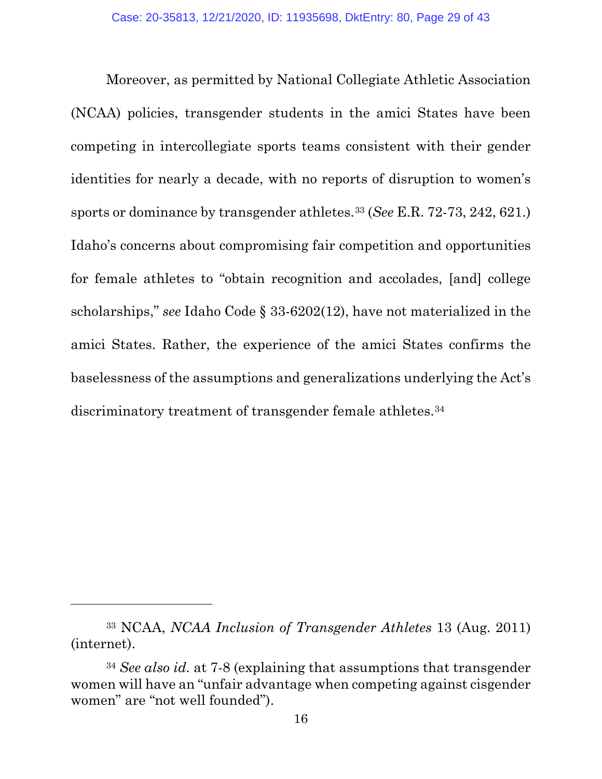Moreover, as permitted by National Collegiate Athletic Association (NCAA) policies, transgender students in the amici States have been competing in intercollegiate sports teams consistent with their gender identities for nearly a decade, with no reports of disruption to women's sports or dominance by transgender athletes.[33](#page-28-0) (*See* E.R. 72-73, 242, 621.) Idaho's concerns about compromising fair competition and opportunities for female athletes to "obtain recognition and accolades, [and] college scholarships," *see* Idaho Code § 33-6202(12), have not materialized in the amici States. Rather, the experience of the amici States confirms the baselessness of the assumptions and generalizations underlying the Act's discriminatory treatment of transgender female athletes.<sup>[34](#page-28-1)</sup>

<span id="page-28-0"></span><sup>33</sup> NCAA, *NCAA Inclusion of Transgender Athletes* 13 (Aug. 2011) (internet).

<span id="page-28-1"></span><sup>34</sup> *See also id.* at 7-8 (explaining that assumptions that transgender women will have an "unfair advantage when competing against cisgender women" are "not well founded").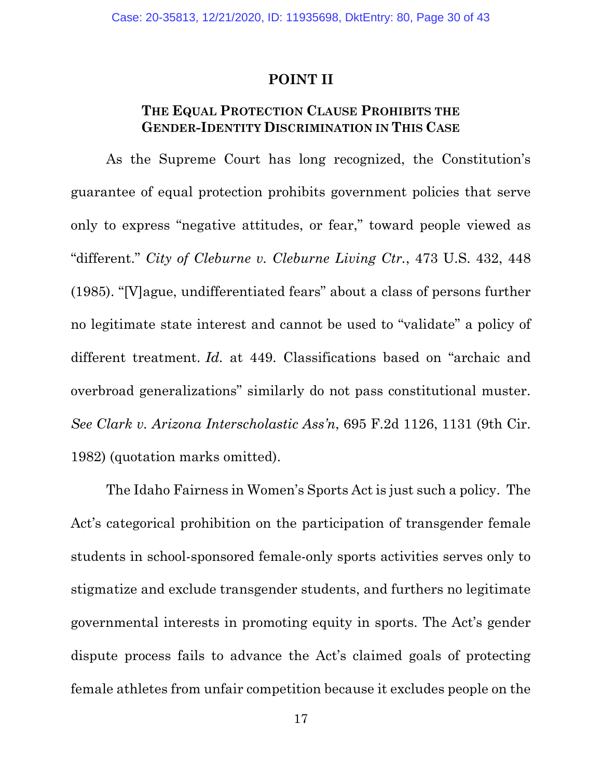#### **POINT II**

#### <span id="page-29-0"></span>**THE EQUAL PROTECTION CLAUSE PROHIBITS THE GENDER-IDENTITY DISCRIMINATION IN THIS CASE**

<span id="page-29-1"></span>As the Supreme Court has long recognized, the Constitution's guarantee of equal protection prohibits government policies that serve only to express "negative attitudes, or fear," toward people viewed as "different." *City of Cleburne v. Cleburne Living Ctr.*, 473 U.S. 432, 448 (1985). "[V]ague, undifferentiated fears" about a class of persons further no legitimate state interest and cannot be used to "validate" a policy of different treatment. *Id.* at 449. Classifications based on "archaic and overbroad generalizations" similarly do not pass constitutional muster. *See Clark v. Arizona Interscholastic Ass'n*, 695 F.2d 1126, 1131 (9th Cir. 1982) (quotation marks omitted).

The Idaho Fairness in Women's Sports Act is just such a policy. The Act's categorical prohibition on the participation of transgender female students in school-sponsored female-only sports activities serves only to stigmatize and exclude transgender students, and furthers no legitimate governmental interests in promoting equity in sports. The Act's gender dispute process fails to advance the Act's claimed goals of protecting female athletes from unfair competition because it excludes people on the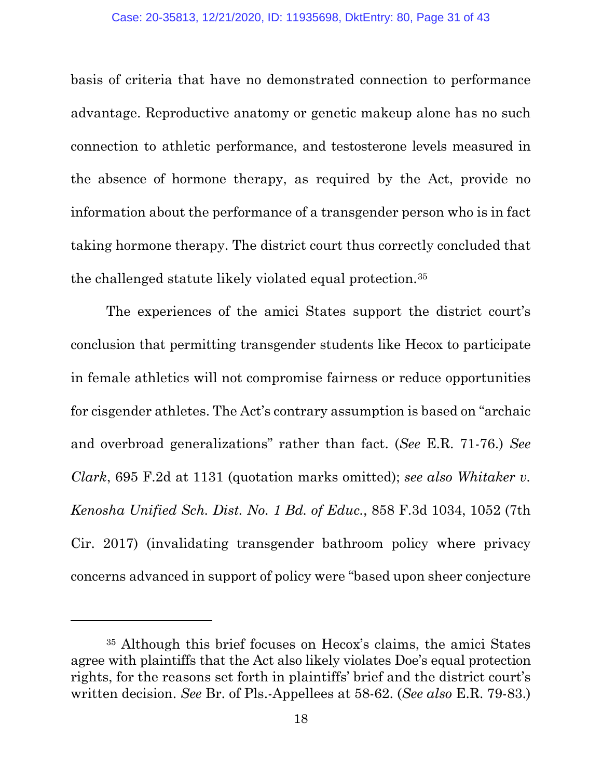basis of criteria that have no demonstrated connection to performance advantage. Reproductive anatomy or genetic makeup alone has no such connection to athletic performance, and testosterone levels measured in the absence of hormone therapy, as required by the Act, provide no information about the performance of a transgender person who is in fact taking hormone therapy. The district court thus correctly concluded that the challenged statute likely violated equal protection.[35](#page-30-0) 

The experiences of the amici States support the district court's conclusion that permitting transgender students like Hecox to participate in female athletics will not compromise fairness or reduce opportunities for cisgender athletes. The Act's contrary assumption is based on "archaic and overbroad generalizations" rather than fact. (*See* E.R. 71-76.) *See Clark*, 695 F.2d at 1131 (quotation marks omitted); *see also Whitaker v. Kenosha Unified Sch. Dist. No. 1 Bd. of Educ.*, 858 F.3d 1034, 1052 (7th Cir. 2017) (invalidating transgender bathroom policy where privacy concerns advanced in support of policy were "based upon sheer conjecture

l

<span id="page-30-0"></span><sup>35</sup> Although this brief focuses on Hecox's claims, the amici States agree with plaintiffs that the Act also likely violates Doe's equal protection rights, for the reasons set forth in plaintiffs' brief and the district court's written decision. *See* Br. of Pls.-Appellees at 58-62. (*See also* E.R. 79-83.)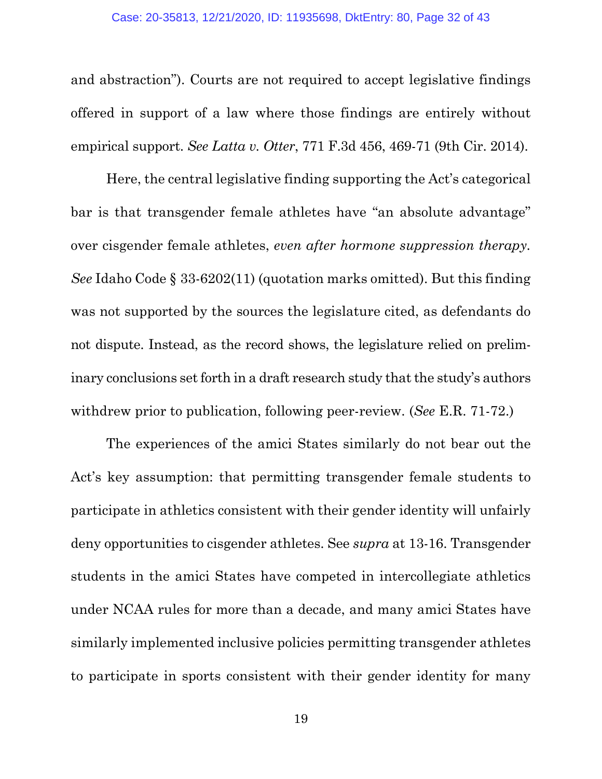and abstraction"). Courts are not required to accept legislative findings offered in support of a law where those findings are entirely without empirical support. *See Latta v. Otter*, 771 F.3d 456, 469-71 (9th Cir. 2014).

Here, the central legislative finding supporting the Act's categorical bar is that transgender female athletes have "an absolute advantage" over cisgender female athletes, *even after hormone suppression therapy. See* Idaho Code § 33-6202(11) (quotation marks omitted). But this finding was not supported by the sources the legislature cited, as defendants do not dispute. Instead, as the record shows, the legislature relied on preliminary conclusions set forth in a draft research study that the study's authors withdrew prior to publication, following peer-review. (*See* E.R. 71-72.)

The experiences of the amici States similarly do not bear out the Act's key assumption: that permitting transgender female students to participate in athletics consistent with their gender identity will unfairly deny opportunities to cisgender athletes. See *supra* at 13-16. Transgender students in the amici States have competed in intercollegiate athletics under NCAA rules for more than a decade, and many amici States have similarly implemented inclusive policies permitting transgender athletes to participate in sports consistent with their gender identity for many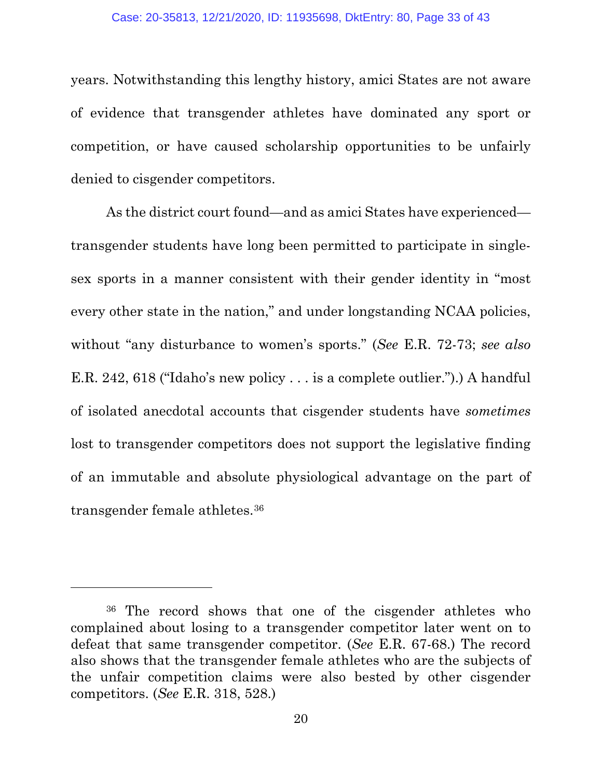years. Notwithstanding this lengthy history, amici States are not aware of evidence that transgender athletes have dominated any sport or competition, or have caused scholarship opportunities to be unfairly denied to cisgender competitors.

As the district court found—and as amici States have experienced transgender students have long been permitted to participate in singlesex sports in a manner consistent with their gender identity in "most every other state in the nation," and under longstanding NCAA policies, without "any disturbance to women's sports." (*See* E.R. 72-73; *see also*  E.R. 242, 618 ("Idaho's new policy . . . is a complete outlier.").) A handful of isolated anecdotal accounts that cisgender students have *sometimes*  lost to transgender competitors does not support the legislative finding of an immutable and absolute physiological advantage on the part of transgender female athletes.[36](#page-32-0)

<span id="page-32-0"></span><sup>36</sup> The record shows that one of the cisgender athletes who complained about losing to a transgender competitor later went on to defeat that same transgender competitor. (*See* E.R. 67-68.) The record also shows that the transgender female athletes who are the subjects of the unfair competition claims were also bested by other cisgender competitors. (*See* E.R. 318, 528.)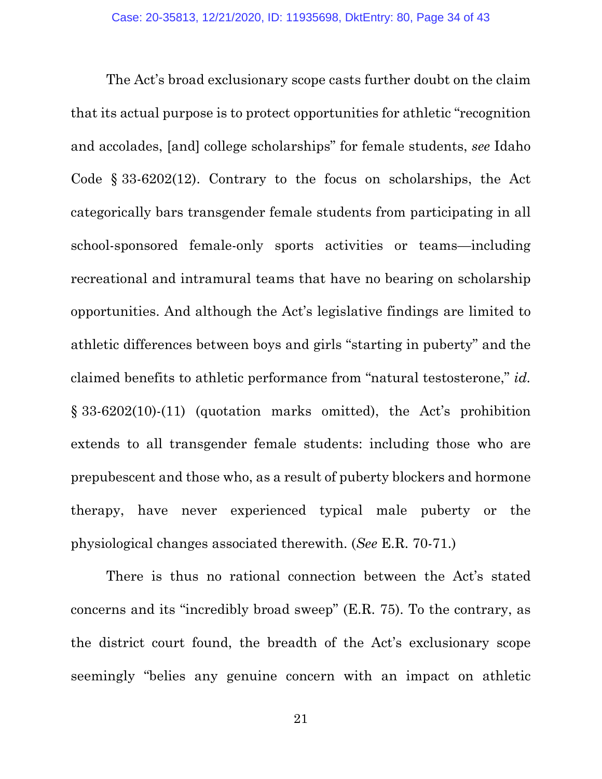The Act's broad exclusionary scope casts further doubt on the claim that its actual purpose is to protect opportunities for athletic "recognition and accolades, [and] college scholarships" for female students, *see* Idaho Code § 33-6202(12). Contrary to the focus on scholarships, the Act categorically bars transgender female students from participating in all school-sponsored female-only sports activities or teams—including recreational and intramural teams that have no bearing on scholarship opportunities. And although the Act's legislative findings are limited to athletic differences between boys and girls "starting in puberty" and the claimed benefits to athletic performance from "natural testosterone," *id.* § 33-6202(10)-(11) (quotation marks omitted), the Act's prohibition extends to all transgender female students: including those who are prepubescent and those who, as a result of puberty blockers and hormone therapy, have never experienced typical male puberty or the physiological changes associated therewith. (*See* E.R. 70-71.)

There is thus no rational connection between the Act's stated concerns and its "incredibly broad sweep" (E.R. 75). To the contrary, as the district court found, the breadth of the Act's exclusionary scope seemingly "belies any genuine concern with an impact on athletic

21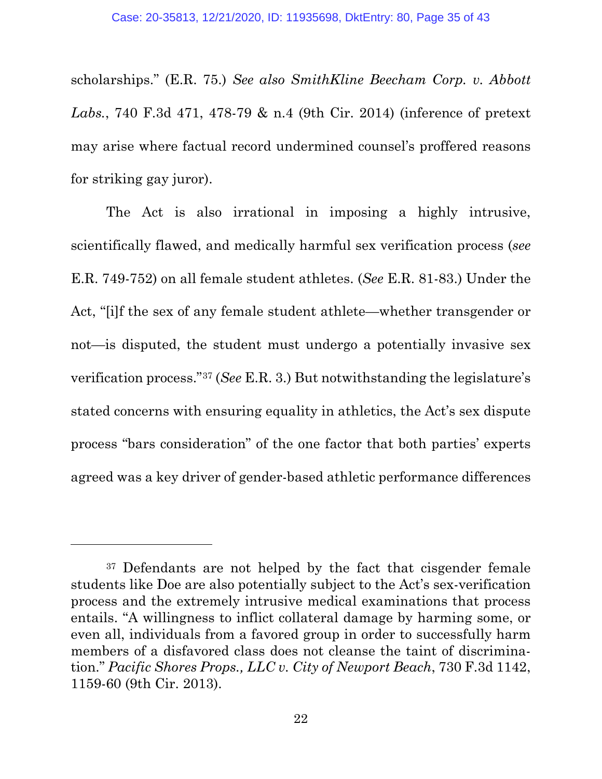scholarships." (E.R. 75.) *See also SmithKline Beecham Corp. v. Abbott Labs.*, 740 F.3d 471, 478-79 & n.4 (9th Cir. 2014) (inference of pretext may arise where factual record undermined counsel's proffered reasons for striking gay juror).

The Act is also irrational in imposing a highly intrusive, scientifically flawed, and medically harmful sex verification process (*see*  E.R. 749-752) on all female student athletes. (*See* E.R. 81-83.) Under the Act, "[i]f the sex of any female student athlete—whether transgender or not—is disputed, the student must undergo a potentially invasive sex verification process."[37](#page-34-0) (*See* E.R. 3.) But notwithstanding the legislature's stated concerns with ensuring equality in athletics, the Act's sex dispute process "bars consideration" of the one factor that both parties' experts agreed was a key driver of gender-based athletic performance differences

l

<span id="page-34-0"></span><sup>37</sup> Defendants are not helped by the fact that cisgender female students like Doe are also potentially subject to the Act's sex-verification process and the extremely intrusive medical examinations that process entails. "A willingness to inflict collateral damage by harming some, or even all, individuals from a favored group in order to successfully harm members of a disfavored class does not cleanse the taint of discrimination." *Pacific Shores Props., LLC v. City of Newport Beach*, 730 F.3d 1142, 1159-60 (9th Cir. 2013).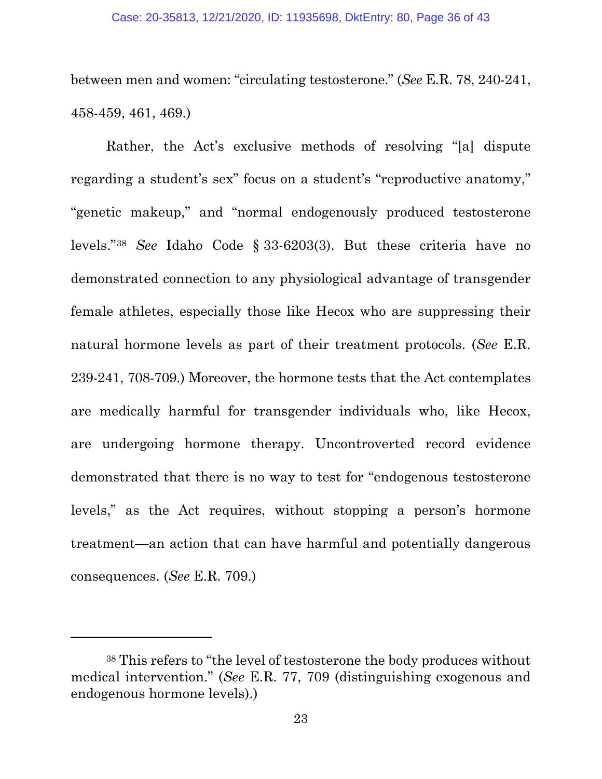between men and women: "circulating testosterone." (*See* E.R. 78, 240-241, 458-459, 461, 469.)

Rather, the Act's exclusive methods of resolving "[a] dispute regarding a student's sex" focus on a student's "reproductive anatomy," "genetic makeup," and "normal endogenously produced testosterone levels."[38](#page-35-0) *See* Idaho Code § 33-6203(3). But these criteria have no demonstrated connection to any physiological advantage of transgender female athletes, especially those like Hecox who are suppressing their natural hormone levels as part of their treatment protocols. (*See* E.R. 239-241, 708-709.) Moreover, the hormone tests that the Act contemplates are medically harmful for transgender individuals who, like Hecox, are undergoing hormone therapy. Uncontroverted record evidence demonstrated that there is no way to test for "endogenous testosterone levels," as the Act requires, without stopping a person's hormone treatment—an action that can have harmful and potentially dangerous consequences. (*See* E.R. 709.)

l

<span id="page-35-0"></span><sup>38</sup> This refers to "the level of testosterone the body produces without medical intervention." (*See* E.R. 77, 709 (distinguishing exogenous and endogenous hormone levels).)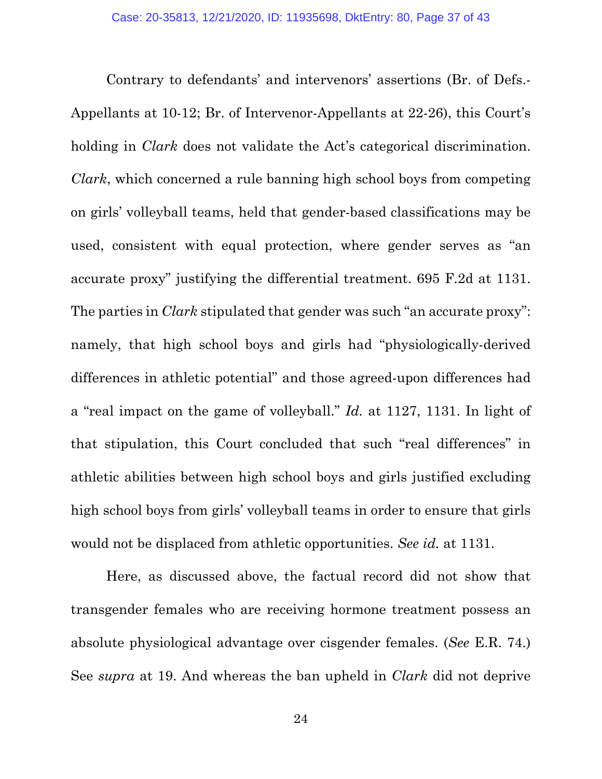Contrary to defendants' and intervenors' assertions (Br. of Defs.- Appellants at 10-12; Br. of Intervenor-Appellants at 22-26), this Court's holding in *Clark* does not validate the Act's categorical discrimination. *Clark*, which concerned a rule banning high school boys from competing on girls' volleyball teams, held that gender-based classifications may be used, consistent with equal protection, where gender serves as "an accurate proxy" justifying the differential treatment. 695 F.2d at 1131. The parties in *Clark* stipulated that gender was such "an accurate proxy": namely, that high school boys and girls had "physiologically-derived differences in athletic potential" and those agreed-upon differences had a "real impact on the game of volleyball." *Id.* at 1127, 1131. In light of that stipulation, this Court concluded that such "real differences" in athletic abilities between high school boys and girls justified excluding high school boys from girls' volleyball teams in order to ensure that girls would not be displaced from athletic opportunities. *See id.* at 1131.

Here, as discussed above, the factual record did not show that transgender females who are receiving hormone treatment possess an absolute physiological advantage over cisgender females. (*See* E.R. 74.) See *supra* at 19. And whereas the ban upheld in *Clark* did not deprive

24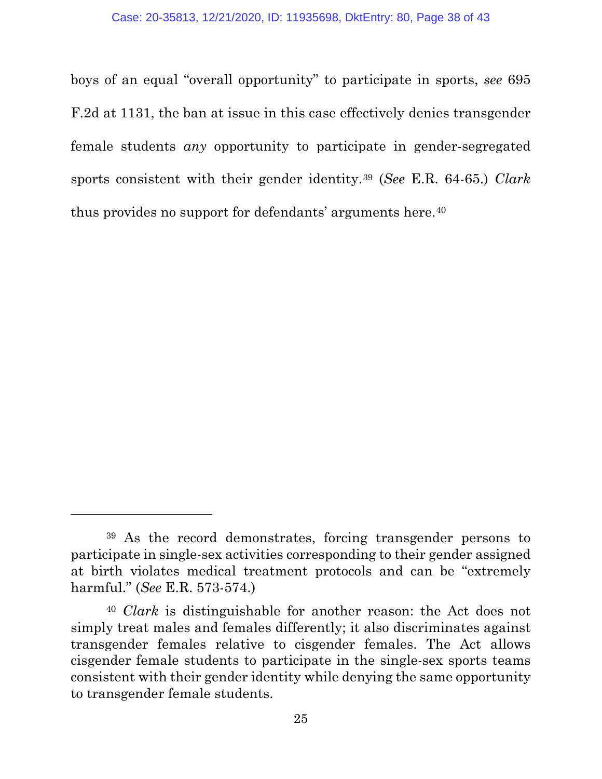boys of an equal "overall opportunity" to participate in sports, *see* 695 F.2d at 1131, the ban at issue in this case effectively denies transgender female students *any* opportunity to participate in gender-segregated sports consistent with their gender identity.[39](#page-37-0) (*See* E.R. 64-65.) *Clark* thus provides no support for defendants' arguments here.<sup>[40](#page-37-1)</sup>

<span id="page-37-0"></span><sup>39</sup> As the record demonstrates, forcing transgender persons to participate in single-sex activities corresponding to their gender assigned at birth violates medical treatment protocols and can be "extremely harmful." (*See* E.R. 573-574.)

<span id="page-37-1"></span><sup>40</sup> *Clark* is distinguishable for another reason: the Act does not simply treat males and females differently; it also discriminates against transgender females relative to cisgender females. The Act allows cisgender female students to participate in the single-sex sports teams consistent with their gender identity while denying the same opportunity to transgender female students.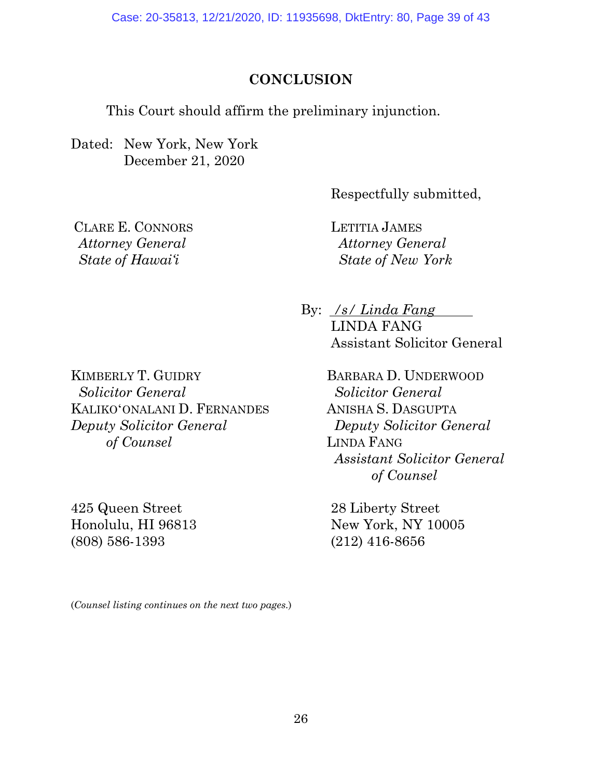Case: 20-35813, 12/21/2020, ID: 11935698, DktEntry: 80, Page 39 of 43

#### **CONCLUSION**

<span id="page-38-0"></span>This Court should affirm the preliminary injunction.

Dated: New York, New York December 21, 2020

Respectfully submitted,

CLARE E. CONNORS  *Attorney General State of Hawai'i*

LETITIA JAMES *Attorney General State of New York*

By: <u>/s/ Linda Fang</u> LINDA FANG Assistant Solicitor General

KIMBERLY T. GUIDRY  *Solicitor General*  KALIKOʻONALANI D. FERNANDES *Deputy Solicitor General of Counsel*

425 Queen Street Honolulu, HI 96813 (808) 586-1393

BARBARA D. UNDERWOOD  *Solicitor General*  ANISHA S. DASGUPTA *Deputy Solicitor General* LINDA FANG *Assistant Solicitor General of Counsel*

28 Liberty Street New York, NY 10005 (212) 416-8656

(*Counsel listing continues on the next two pages.*)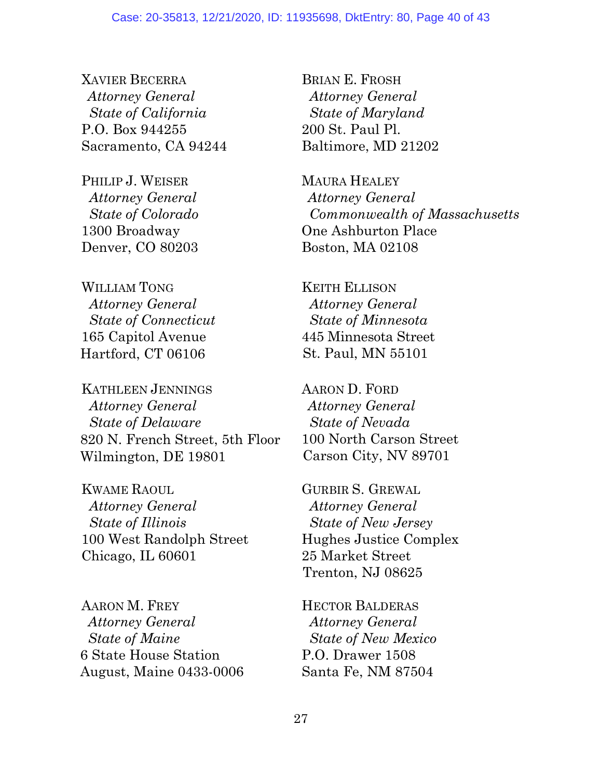XAVIER BECERRA  *Attorney General State of California* P.O. Box 944255 Sacramento, CA 94244

PHILIP J. WEISER *Attorney General State of Colorado* 1300 Broadway Denver, CO 80203

WILLIAM TONG  *Attorney General State of Connecticut* 165 Capitol Avenue Hartford, CT 06106

KATHLEEN JENNINGS  *Attorney General State of Delaware* 820 N. French Street, 5th Floor Wilmington, DE 19801

KWAME RAOUL *Attorney General State of Illinois* 100 West Randolph Street Chicago, IL 60601

AARON M. FREY  *Attorney General State of Maine* 6 State House Station August, Maine 0433-0006 BRIAN E. FROSH  *Attorney General State of Maryland* 200 St. Paul Pl. Baltimore, MD 21202

MAURA HEALEY *Attorney General Commonwealth of Massachusetts* One Ashburton Place Boston, MA 02108

KEITH ELLISON *Attorney General State of Minnesota* 445 Minnesota Street St. Paul, MN 55101

AARON D. FORD *Attorney General State of Nevada* 100 North Carson Street Carson City, NV 89701

GURBIR S. GREWAL  *Attorney General State of New Jersey*  Hughes Justice Complex 25 Market Street Trenton, NJ 08625

HECTOR BALDERAS  *Attorney General State of New Mexico* P.O. Drawer 1508 Santa Fe, NM 87504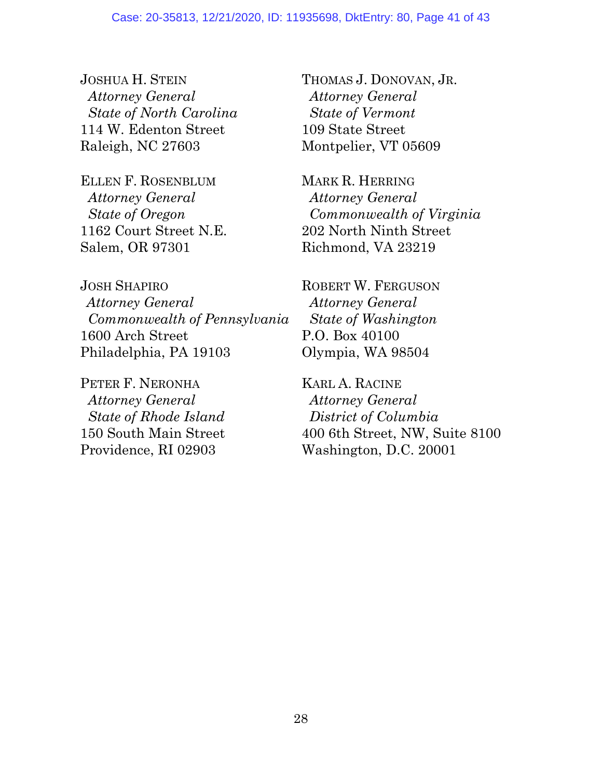JOSHUA H. STEIN *Attorney General State of North Carolina* 114 W. Edenton Street Raleigh, NC 27603

ELLEN F. ROSENBLUM  *Attorney General State of Oregon* 1162 Court Street N.E. Salem, OR 97301

JOSH SHAPIRO *Attorney General Commonwealth of Pennsylvania* 1600 Arch Street Philadelphia, PA 19103

PETER F. NERONHA *Attorney General State of Rhode Island* 150 South Main Street Providence, RI 02903

THOMAS J. DONOVAN, JR.  *Attorney General State of Vermont* 109 State Street Montpelier, VT 05609

MARK R. HERRING  *Attorney General Commonwealth of Virginia* 202 North Ninth Street Richmond, VA 23219

ROBERT W. FERGUSON *Attorney General State of Washington* P.O. Box 40100 Olympia, WA 98504

KARL A. RACINE *Attorney General District of Columbia* 400 6th Street, NW, Suite 8100 Washington, D.C. 20001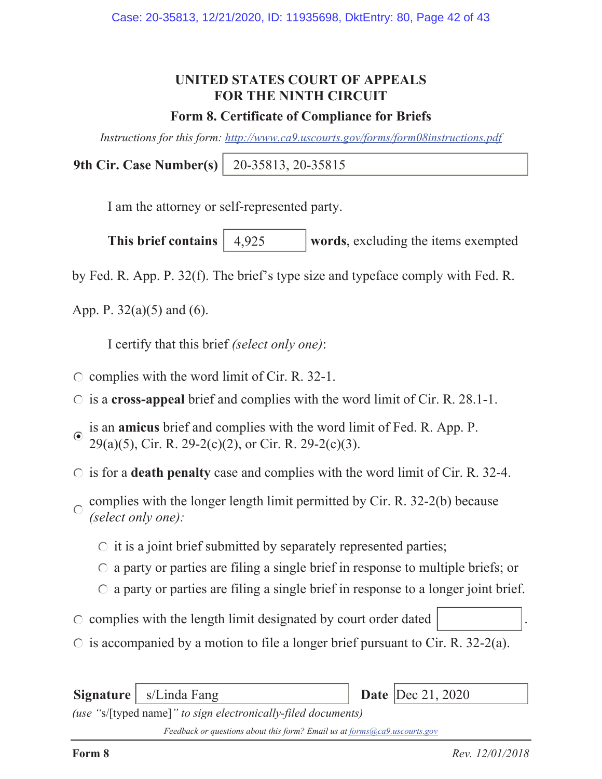#### **UNITED STATES COURT OF APPEALS FOR THE NINTH CIRCUIT**

#### **Form 8. Certificate of Compliance for Briefs**

*Instructions for this form: http://www.ca9.uscourts.gov/forms/form08instructions.pdf*

**9th Cir. Case Number(s)** 20-35813, 20-35815

I am the attorney or self-represented party.

**This brief contains** | 4,925 words, excluding the items exempted 4,925

by Fed. R. App. P. 32(f). The brief's type size and typeface comply with Fed. R.

App. P.  $32(a)(5)$  and  $(6)$ .

I certify that this brief *(select only one)*:

- $\circ$  complies with the word limit of Cir. R. 32-1.
- is a **cross-appeal** brief and complies with the word limit of Cir. R. 28.1-1.
- is an **amicus** brief and complies with the word limit of Fed. R. App. P. 29(a)(5), Cir. R. 29-2(c)(2), or Cir. R. 29-2(c)(3).
- $\circ$  is for a **death penalty** case and complies with the word limit of Cir. R. 32-4.
- complies with the longer length limit permitted by Cir. R. 32-2(b) because  $\bigcirc$ *(select only one):*
	- $\circ$  it is a joint brief submitted by separately represented parties;
	- $\circ$  a party or parties are filing a single brief in response to multiple briefs; or
	- $\circ$  a party or parties are filing a single brief in response to a longer joint brief.
- $\circ$  complies with the length limit designated by court order dated
- $\circ$  is accompanied by a motion to file a longer brief pursuant to Cir. R. 32-2(a).

**Signature** | s/Linda Fang *(use "*s/[typed name]*" to sign electronically-filed documents)* Date  $|Dec\ 21, 2020$ 

*Feedback or questions about this form? Email us at forms@ca9.uscourts.gov*